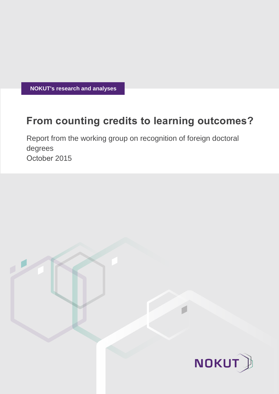**NOKUT's research and analyses**

# **From counting credits to learning outcomes?**

Report from the working group on recognition of foreign doctoral degrees October 2015

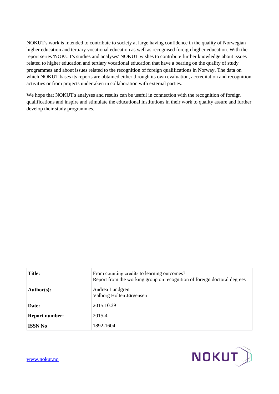NOKUT's work is intended to contribute to society at large having confidence in the quality of Norwegian higher education and tertiary vocational education as well as recognised foreign higher education. With the report series 'NOKUT's studies and analyses' NOKUT wishes to contribute further knowledge about issues related to higher education and tertiary vocational education that have a bearing on the quality of study programmes and about issues related to the recognition of foreign qualifications in Norway. The data on which NOKUT bases its reports are obtained either through its own evaluation, accreditation and recognition activities or from projects undertaken in collaboration with external parties.

We hope that NOKUT's analyses and results can be useful in connection with the recognition of foreign qualifications and inspire and stimulate the educational institutions in their work to quality assure and further develop their study programmes.

| <b>Title:</b>         | From counting credits to learning outcomes?<br>Report from the working group on recognition of foreign doctoral degrees |
|-----------------------|-------------------------------------------------------------------------------------------------------------------------|
| Author(s):            | Andrea Lundgren<br>Valborg Holten Jørgensen                                                                             |
| Date:                 | 2015.10.29                                                                                                              |
| <b>Report number:</b> | 2015-4                                                                                                                  |
| <b>ISSN No</b>        | 1892-1604                                                                                                               |



[www.nokut.no](http://www.nokut.no/)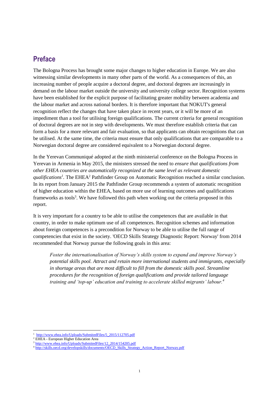### **Preface**

The Bologna Process has brought some major changes to higher education in Europe. We are also witnessing similar developments in many other parts of the world. As a consequences of this, an increasing number of people acquire a doctoral degree, and doctoral degrees are increasingly in demand on the labour market outside the university and university college sector. Recognition systems have been established for the explicit purpose of facilitating greater mobility between academia and the labour market and across national borders. It is therefore important that NOKUT's general recognition reflect the changes that have taken place in recent years, or it will be more of an impediment than a tool for utilising foreign qualifications. The current criteria for general recognition of doctoral degrees are not in step with developments. We must therefore establish criteria that can form a basis for a more relevant and fair evaluation, so that applicants can obtain recognitions that can be utilised. At the same time, the criteria must ensure that only qualifications that are comparable to a Norwegian doctoral degree are considered equivalent to a Norwegian doctoral degree.

In the Yerevan Communiqué adopted at the ninth ministerial conference on the Bologna Process in Yerevan in Armenia in May 2015, the ministers stressed the need to *ensure that qualifications from other EHEA countries are automatically recognized at the same level as relevant domestic qualifications<sup>1</sup> .* The EHEA<sup>2</sup> Pathfinder Group on Automatic Recognition reached a similar conclusion. In its report from January 2015 the Pathfinder Group recommends a system of automatic recognition of higher education within the EHEA, based on more use of learning outcomes and qualifications frameworks as tools<sup>3</sup>. We have followed this path when working out the criteria proposed in this report.

It is very important for a country to be able to utilise the competences that are available in that country, in order to make optimum use of all competences. Recognition schemes and information about foreign competences is a precondition for Norway to be able to utilise the full range of competencies that exist in the society. 'OECD Skills Strategy Diagnostic Report: Norway' from 2014 recommended that Norway pursue the following goals in this area:

*Foster the internationalisation of Norway's skills system to expand and improve Norway's potential skills pool. Attract and retain more international students and immigrants, especially in shortage areas that are most difficult to fill from the domestic skills pool. Streamline procedures for the recognition of foreign qualifications and provide tailored language training and 'top-up' education and training to accelerate skilled migrants' labour.<sup>4</sup>*

 $\overline{a}$ [http://www.ehea.info/Uploads/SubmitedFiles/5\\_2015/112705.pdf](http://www.ehea.info/Uploads/SubmitedFiles/5_2015/112705.pdf)

<sup>&</sup>lt;sup>2</sup> EHEA - European Higher Education Area

<sup>&</sup>lt;sup>3</sup> [http://www.ehea.info/Uploads/SubmitedFiles/12\\_2014/154205.pdf](http://www.ehea.info/Uploads/SubmitedFiles/12_2014/154205.pdf)

<sup>4</sup> [http://skills.oecd.org/developskills/documents/OECD\\_Skills\\_Strategy\\_Action\\_Report\\_Norway.pdf](http://skills.oecd.org/developskills/documents/OECD_Skills_Strategy_Action_Report_Norway.pdf)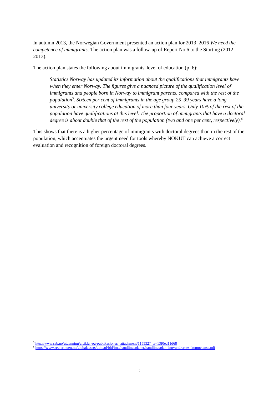In autumn 2013, the Norwegian Government presented an action plan for 2013–2016 *We need the competence of immigrants*. The action plan was a follow-up of Report No 6 to the Storting (2012– 2013).

The action plan states the following about immigrants' level of education (p. 6):

*Statistics Norway has updated its information about the qualifications that immigrants have when they enter Norway. The figures give a nuanced picture of the qualification level of immigrants and people born in Norway to immigrant parents, compared with the rest of the population<sup>5</sup> . Sixteen per cent of immigrants in the age group 25–39 years have a long university or university college education of more than four years. Only 10% of the rest of the population have qualifications at this level. The proportion of immigrants that have a doctoral degree is about double that of the rest of the population (two and one per cent, respectively).<sup>6</sup>*

This shows that there is a higher percentage of immigrants with doctoral degrees than in the rest of the population, which accentuates the urgent need for tools whereby NOKUT can achieve a correct evaluation and recognition of foreign doctoral degrees.

<sup>&</sup>lt;sup>5</sup> [http://www.ssb.no/utdanning/artikler-og-publikasjoner/\\_attachment/115532?\\_ts=13f0ed11d68](http://www.ssb.no/utdanning/artikler-og-publikasjoner/_attachment/115532?_ts=13f0ed11d68)

<sup>6</sup> [https://www.regjeringen.no/globalassets/upload/bld/ima/handlingsplaner/handlingsplan\\_innvandrernes\\_kompetanse.pdf](https://www.regjeringen.no/globalassets/upload/bld/ima/handlingsplaner/handlingsplan_innvandrernes_kompetanse.pdf)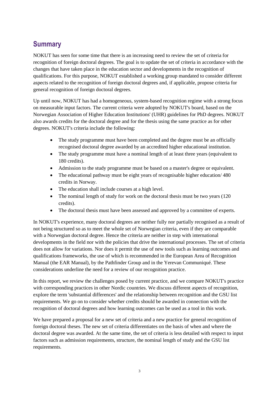# **Summary**

NOKUT has seen for some time that there is an increasing need to review the set of criteria for recognition of foreign doctoral degrees. The goal is to update the set of criteria in accordance with the changes that have taken place in the education sector and developments in the recognition of qualifications. For this purpose, NOKUT established a working group mandated to consider different aspects related to the recognition of foreign doctoral degrees and, if applicable, propose criteria for general recognition of foreign doctoral degrees.

Up until now, NOKUT has had a homogeneous, system-based recognition regime with a strong focus on measurable input factors. The current criteria were adopted by NOKUT's board, based on the Norwegian Association of Higher Education Institutions' (UHR) guidelines for PhD degrees. NOKUT also awards credits for the doctoral degree and for the thesis using the same practice as for other degrees. NOKUT's criteria include the following:

- The study programme must have been completed and the degree must be an officially recognised doctoral degree awarded by an accredited higher educational institution.
- The study programme must have a nominal length of at least three years (equivalent to 180 credits).
- Admission to the study programme must be based on a master's degree or equivalent.
- The educational pathway must be eight years of recognisable higher education/ 480 credits in Norway.
- The education shall include courses at a high level.
- The nominal length of study for work on the doctoral thesis must be two years (120) credits).
- The doctoral thesis must have been assessed and approved by a committee of experts.

In NOKUT's experience, many doctoral degrees are neither fully nor partially recognised as a result of not being structured so as to meet the whole set of Norwegian criteria, even if they are comparable with a Norwegian doctoral degree. Hence the criteria are neither in step with international developments in the field nor with the policies that drive the international processes. The set of criteria does not allow for variations. Nor does it permit the use of new tools such as learning outcomes and qualifications frameworks, the use of which is recommended in the European Area of Recognition Manual (the EAR Manual), by the Pathfinder Group and in the Yerevan Communiqué. These considerations underline the need for a review of our recognition practice.

In this report, we review the challenges posed by current practice, and we compare NOKUT's practice with corresponding practices in other Nordic countries. We discuss different aspects of recognition, explore the term 'substantial differences' and the relationship between recognition and the GSU list requirements. We go on to consider whether credits should be awarded in connection with the recognition of doctoral degrees and how learning outcomes can be used as a tool in this work.

We have prepared a proposal for a new set of criteria and a new practice for general recognition of foreign doctoral theses. The new set of criteria differentiates on the basis of when and where the doctoral degree was awarded. At the same time, the set of criteria is less detailed with respect to input factors such as admission requirements, structure, the nominal length of study and the GSU list requirements.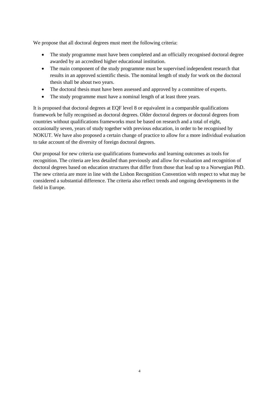We propose that all doctoral degrees must meet the following criteria:

- The study programme must have been completed and an officially recognised doctoral degree awarded by an accredited higher educational institution.
- The main component of the study programme must be supervised independent research that results in an approved scientific thesis. The nominal length of study for work on the doctoral thesis shall be about two years.
- The doctoral thesis must have been assessed and approved by a committee of experts.
- The study programme must have a nominal length of at least three years.

It is proposed that doctoral degrees at EQF level 8 or equivalent in a comparable qualifications framework be fully recognised as doctoral degrees. Older doctoral degrees or doctoral degrees from countries without qualifications frameworks must be based on research and a total of eight, occasionally seven, years of study together with previous education, in order to be recognised by NOKUT. We have also proposed a certain change of practice to allow for a more individual evaluation to take account of the diversity of foreign doctoral degrees.

Our proposal for new criteria use qualifications frameworks and learning outcomes as tools for recognition. The criteria are less detailed than previously and allow for evaluation and recognition of doctoral degrees based on education structures that differ from those that lead up to a Norwegian PhD. The new criteria are more in line with the Lisbon Recognition Convention with respect to what may be considered a substantial difference. The criteria also reflect trends and ongoing developments in the field in Europe.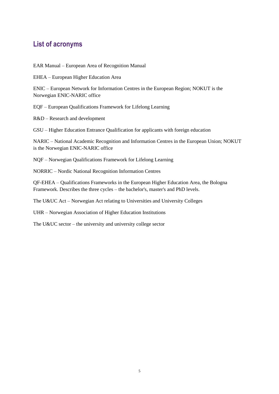### <span id="page-6-0"></span>**List of acronyms**

EAR Manual – European Area of Recognition Manual

EHEA – European Higher Education Area

ENIC – European Network for Information Centres in the European Region; NOKUT is the Norwegian ENIC-NARIC office

EQF – European Qualifications Framework for Lifelong Learning

R&D – Research and development

GSU – Higher Education Entrance Qualification for applicants with foreign education

NARIC – National Academic Recognition and Information Centres in the European Union; NOKUT is the Norwegian ENIC-NARIC office

NQF – Norwegian Qualifications Framework for Lifelong Learning

NORRIC – Nordic National Recognition Information Centres

QF-EHEA – Qualifications Frameworks in the European Higher Education Area, the Bologna Framework. Describes the three cycles – the bachelor's, master's and PhD levels.

The U&UC Act – Norwegian Act relating to Universities and University Colleges

UHR – Norwegian Association of Higher Education Institutions

The U&UC sector – the university and university college sector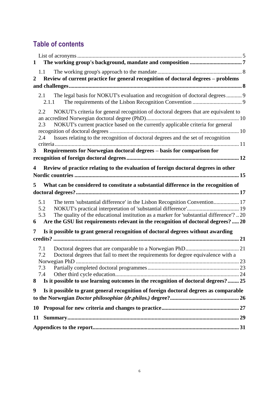# **Table of contents**

|                  | $1 \quad$                                                                                                                                                                            |  |
|------------------|--------------------------------------------------------------------------------------------------------------------------------------------------------------------------------------|--|
| $\boldsymbol{2}$ | 1.1<br>Review of current practice for general recognition of doctoral degrees - problems                                                                                             |  |
|                  |                                                                                                                                                                                      |  |
|                  | The legal basis for NOKUT's evaluation and recognition of doctoral degrees 9<br>2.1<br>2.1.1                                                                                         |  |
|                  | NOKUT's criteria for general recognition of doctoral degrees that are equivalent to<br>2.2<br>NOKUT's current practice based on the currently applicable criteria for general<br>2.3 |  |
|                  | Issues relating to the recognition of doctoral degrees and the set of recognition<br>2.4                                                                                             |  |
|                  |                                                                                                                                                                                      |  |
| 3 <sup>7</sup>   | Requirements for Norwegian doctoral degrees - basis for comparison for                                                                                                               |  |
|                  |                                                                                                                                                                                      |  |
| 4                | Review of practice relating to the evaluation of foreign doctoral degrees in other                                                                                                   |  |
|                  |                                                                                                                                                                                      |  |
| 5                | What can be considered to constitute a substantial difference in the recognition of                                                                                                  |  |
|                  |                                                                                                                                                                                      |  |
|                  |                                                                                                                                                                                      |  |
|                  | The term 'substantial difference' in the Lisbon Recognition Convention 17<br>5.1<br>5.2                                                                                              |  |
|                  | The quality of the educational institution as a marker for 'substantial difference'? 20<br>5.3                                                                                       |  |
| 6                | Are the GSU list requirements relevant in the recognition of doctoral degrees?  20                                                                                                   |  |
| 7                | Is it possible to grant general recognition of doctoral degrees without awarding                                                                                                     |  |
|                  |                                                                                                                                                                                      |  |
|                  |                                                                                                                                                                                      |  |
|                  | 7.1<br>7.2                                                                                                                                                                           |  |
|                  | Doctoral degrees that fail to meet the requirements for degree equivalence with a                                                                                                    |  |
|                  | 7.3                                                                                                                                                                                  |  |
|                  | 7.4                                                                                                                                                                                  |  |
| 8                | Is it possible to use learning outcomes in the recognition of doctoral degrees? 25                                                                                                   |  |
| 9                | Is it possible to grant general recognition of foreign doctoral degrees as comparable                                                                                                |  |
|                  |                                                                                                                                                                                      |  |
| 10               |                                                                                                                                                                                      |  |
|                  |                                                                                                                                                                                      |  |
| 11               |                                                                                                                                                                                      |  |
|                  |                                                                                                                                                                                      |  |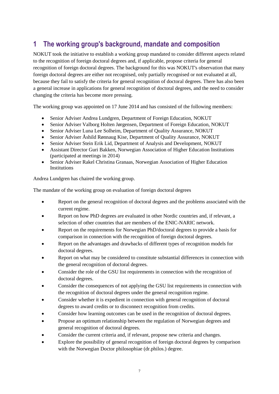# <span id="page-8-0"></span>**1 The working group's background, mandate and composition**

NOKUT took the initiative to establish a working group mandated to consider different aspects related to the recognition of foreign doctoral degrees and, if applicable, propose criteria for general recognition of foreign doctoral degrees. The background for this was NOKUT's observation that many foreign doctoral degrees are either not recognised, only partially recognised or not evaluated at all, because they fail to satisfy the criteria for general recognition of doctoral degrees. There has also been a general increase in applications for general recognition of doctoral degrees, and the need to consider changing the criteria has become more pressing.

The working group was appointed on 17 June 2014 and has consisted of the following members:

- Senior Adviser Andrea Lundgren, Department of Foreign Education, NOKUT
- Senior Adviser Valborg Holten Jørgensen, Department of Foreign Education, NOKUT
- Senior Adviser Luna Lee Solheim, Department of Quality Assurance, NOKUT
- Senior Adviser Åshild Rønnaug Kise, Department of Quality Assurance, NOKUT
- Senior Adviser Stein Erik Lid, Department of Analysis and Development, NOKUT
- Assistant Director Guri Bakken, Norwegian Association of Higher Education Institutions (participated at meetings in 2014)
- Senior Adviser Rakel Christina Granaas, Norwegian Association of Higher Education **Institutions**

Andrea Lundgren has chaired the working group.

The mandate of the working group on evaluation of foreign doctoral degrees

- Report on the general recognition of doctoral degrees and the problems associated with the current regime.
- Report on how PhD degrees are evaluated in other Nordic countries and, if relevant, a selection of other countries that are members of the ENIC-NARIC network.
- Report on the requirements for Norwegian PhD/doctoral degrees to provide a basis for comparison in connection with the recognition of foreign doctoral degrees.
- Report on the advantages and drawbacks of different types of recognition models for doctoral degrees.
- Report on what may be considered to constitute substantial differences in connection with the general recognition of doctoral degrees.
- Consider the role of the GSU list requirements in connection with the recognition of doctoral degrees.
- Consider the consequences of not applying the GSU list requirements in connection with the recognition of doctoral degrees under the general recognition regime.
- Consider whether it is expedient in connection with general recognition of doctoral degrees to award credits or to disconnect recognition from credits.
- Consider how learning outcomes can be used in the recognition of doctoral degrees.
- Propose an optimum relationship between the regulation of Norwegian degrees and general recognition of doctoral degrees.
- Consider the current criteria and, if relevant, propose new criteria and changes.
- Explore the possibility of general recognition of foreign doctoral degrees by comparison with the Norwegian Doctor philosophiae (dr.philos.) degree.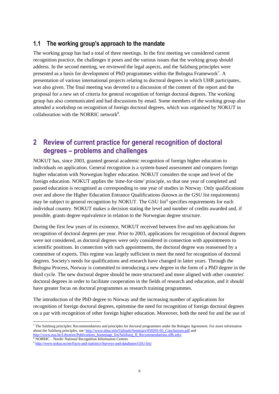#### <span id="page-9-0"></span>**1.1 The working group's approach to the mandate**

The working group has had a total of three meetings. In the first meeting we considered current recognition practice, the challenges it poses and the various issues that the working group should address. In the second meeting, we reviewed the legal aspects, and the Salzburg principles were presented as a basis for development of PhD programmes within the Bologna Framework<sup>7</sup>. A presentation of various international projects relating to doctoral degrees in which UHR participates, was also given. The final meeting was devoted to a discussion of the content of the report and the proposal for a new set of criteria for general recognition of foreign doctoral degrees. The working group has also communicated and had discussions by email. Some members of the working group also attended a workshop on recognition of foreign doctoral degrees, which was organised by NOKUT in collaboration with the NORRIC network<sup>8</sup>.

### <span id="page-9-1"></span>**2 Review of current practice for general recognition of doctoral degrees – problems and challenges**

NOKUT has, since 2003, granted general academic recognition of foreign higher education to individuals on application. General recognition is a system-based assessment and compares foreign higher education with Norwegian higher education. NOKUT considers the scope and level of the foreign education. NOKUT applies the 'time-for-time' principle, so that one year of completed and passed education is recognised as corresponding to one year of studies in Norway. Only qualifications over and above the Higher Education Entrance Qualifications (known as the GSU list requirements) may be subject to general recognition by NOKUT. The GSU list<sup>9</sup> specifies requirements for each individual country. NOKUT makes a decision stating the level and number of credits awarded and, if possible, grants degree equivalence in relation to the Norwegian degree structure.

During the first few years of its existence, NOKUT received between five and ten applications for recognition of doctoral degrees per year. Prior to 2003, applications for recognition of doctoral degrees were not considered, as doctoral degrees were only considered in connection with appointments to scientific positions. In connection with such appointments, the doctoral degree was reassessed by a committee of experts. This regime was largely sufficient to meet the need for recognition of doctoral degrees. Society's needs for qualifications and research have changed in latter years. Through the Bologna Process, Norway is committed to introducing a new degree in the form of a PhD degree in the third cycle. The new doctoral degree should be more structured and more aligned with other countries' doctoral degrees in order to facilitate cooperation in the fields of research and education, and it should have greater focus on doctoral programmes as research training programmes.

The introduction of the PhD degree to Norway and the increasing number of applications for recognition of foreign doctoral degrees, epitomise the need for recognition of foreign doctoral degrees on a par with recognition of other foreign higher education. Moreover, both the need for and the use of

 $\overline{a}$  $<sup>7</sup>$  The Salzburg principles: Recommendations and principles for doctoral programmes under the Bologna Agreement. For more information</sup> about the Salzburg principles, see: [http://www.ehea.info/Uploads/Seminars/050203-05\\_Conclusions.pdf](http://www.ehea.info/Uploads/Seminars/050203-05_Conclusions.pdf) and [http://www.eua.be/Libraries/Publications\\_homepage\\_list/Salzburg\\_II\\_Recommendations.sflb.ashx](http://www.eua.be/Libraries/Publications_homepage_list/Salzburg_II_Recommendations.sflb.ashx)

<sup>8</sup> NORRIC – Nordic National Recognition Information Centres

<sup>&</sup>lt;sup>9</sup> <http://www.nokut.no/en/Facts-and-statistics/Surveys-and-databases/GSU-list/>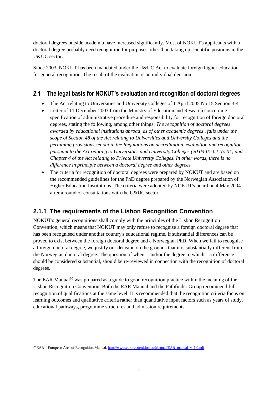doctoral degrees outside academia have increased significantly. Most of NOKUT's applicants with a doctoral degree probably need recognition for purposes other than taking up scientific positions in the U&UC sector.

Since 2003, NOKUT has been mandated under the U&UC Act to evaluate foreign higher education for general recognition. The result of the evaluation is an individual decision.

### <span id="page-10-0"></span>**2.1 The legal basis for NOKUT's evaluation and recognition of doctoral degrees**

- The Act relating to Universities and University Colleges of 1 April 2005 No 15 Section 3-4
- Letter of 11 December 2003 from the Ministry of Education and Research concerning specification of administrative procedure and responsibility for recognition of foreign doctoral degrees, stating the following, among other things: *The recognition of doctoral degrees awarded by educational institutions abroad, as of other academic degrees , falls under the scope of Section 48 of the Act relating to Universities and University Colleges and the pertaining provisions set out in the Regulations on accreditation, evaluation and recognition pursuant to the Act relating to Universities and University Colleges (20 03-01-02 No 04) and Chapter 4 of the Act relating to Private University Colleges. In other words, there is no difference in principle between a doctoral degree and other degrees.*
- The criteria for recognition of doctoral degrees were prepared by NOKUT and are based on the recommended guidelines for the PhD degree prepared by the Norwegian Association of Higher Education Institutions. The criteria were adopted by NOKUT's board on 4 May 2004 after a round of consultations with the U&UC sector.

### <span id="page-10-1"></span>**2.1.1 The requirements of the Lisbon Recognition Convention**

NOKUT's general recognitions shall comply with the principles of the Lisbon Recognition Convention, which means that NOKUT may only refuse to recognise a foreign doctoral degree that has been recognised under another country's educational regime, if substantial differences can be proved to exist between the foreign doctoral degree and a Norwegian PhD. When we fail to recognise a foreign doctoral degree, we justify our decision on the grounds that it is substantially different from the Norwegian doctoral degree. The question of when  $-$  and/or the degree to which  $-$  a difference should be considered substantial, should be re-reviewed in connection with the recognition of doctoral degrees.

The EAR Manual<sup>10</sup> was prepared as a guide to good recognition practice within the meaning of the Lisbon Recognition Convention. Both the EAR Manual and the Pathfinder Group recommend full recognition of qualifications at the same level. It is recommended that the recognition criteria focus on learning outcomes and qualitative criteria rather than quantitative input factors such as years of study, educational pathways, programme structures and admission requirements.

l <sup>10</sup> EAR – European Area of Recognition Manual[, http://www.eurorecognition.eu/Manual/EAR\\_manual\\_v\\_1.0.pdf](http://www.eurorecognition.eu/Manual/EAR_manual_v_1.0.pdf)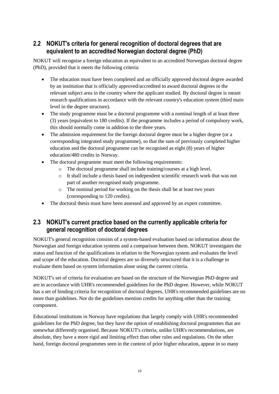### <span id="page-11-0"></span>**2.2 NOKUT's criteria for general recognition of doctoral degrees that are equivalent to an accredited Norwegian doctoral degree (PhD)**

NOKUT will recognise a foreign education as equivalent to an accredited Norwegian doctoral degree (PhD), provided that it meets the following criteria:

- The education must have been completed and an officially approved doctoral degree awarded by an institution that is officially approved/accredited to award doctoral degrees in the relevant subject area in the country where the applicant studied. By doctoral degree is meant research qualifications in accordance with the relevant country's education system (third main level in the degree structure).
- The study programme must be a doctoral programme with a nominal length of at least three (3) years (equivalent to 180 credits). If the programme includes a period of compulsory work, this should normally come in addition to the three years.
- The admission requirement for the foreign doctoral degree must be a higher degree (or a corresponding integrated study programme), so that the sum of previously completed higher education and the doctoral programme can be recognised as eight (8) years of higher education/480 credits in Norway.
- The doctoral programme must meet the following requirements:
	- o The doctoral programme shall include training/courses at a high level.
	- o It shall include a thesis based on independent scientific research work that was not part of another recognised study programme.
	- o The nominal period for working on the thesis shall be at least two years (corresponding to 120 credits).
- The doctoral thesis must have been assessed and approved by an expert committee.

### <span id="page-11-1"></span>**2.3 NOKUT's current practice based on the currently applicable criteria for general recognition of doctoral degrees**

NOKUT's general recognition consists of a system-based evaluation based on information about the Norwegian and foreign education systems and a comparison between them. NOKUT investigates the status and function of the qualifications in relation to the Norwegian system and evaluates the level and scope of the education. Doctoral degrees are so diversely structured that it is a challenge to evaluate them based on system information alone using the current criteria.

NOKUT's set of criteria for evaluation are based on the structure of the Norwegian PhD degree and are in accordance with UHR's recommended guidelines for the PhD degree. However, while NOKUT has a set of binding criteria for recognition of doctoral degrees, UHR's recommended guidelines are no more than guidelines. Nor do the guidelines mention credits for anything other than the training component.

Educational institutions in Norway have regulations that largely comply with UHR's recommended guidelines for the PhD degree, but they have the option of establishing doctoral programmes that are somewhat differently organised. Because NOKUT's criteria, unlike UHR's recommendations, are absolute, they have a more rigid and limiting effect than other rules and regulations. On the other hand, foreign doctoral programmes seen in the context of prior higher education, appear in so many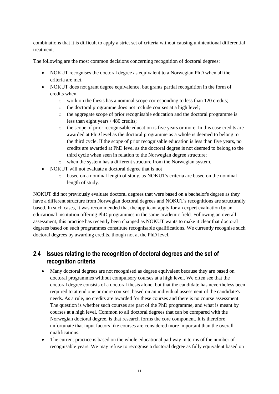combinations that it is difficult to apply a strict set of criteria without causing unintentional differential treatment.

The following are the most common decisions concerning recognition of doctoral degrees:

- NOKUT recognises the doctoral degree as equivalent to a Norwegian PhD when all the criteria are met.
- NOKUT does not grant degree equivalence, but grants partial recognition in the form of credits when
	- o work on the thesis has a nominal scope corresponding to less than 120 credits;
	- o the doctoral programme does not include courses at a high level;
	- o the aggregate scope of prior recognisable education and the doctoral programme is less than eight years / 480 credits;
	- $\circ$  the scope of prior recognisable education is five years or more. In this case credits are awarded at PhD level as the doctoral programme as a whole is deemed to belong to the third cycle. If the scope of prior recognisable education is less than five years, no credits are awarded at PhD level as the doctoral degree is not deemed to belong to the third cycle when seen in relation to the Norwegian degree structure;
	- o when the system has a different structure from the Norwegian system.
- NOKUT will not evaluate a doctoral degree that is not
	- o based on a nominal length of study, as NOKUT's criteria are based on the nominal length of study.

NOKUT did not previously evaluate doctoral degrees that were based on a bachelor's degree as they have a different structure from Norwegian doctoral degrees and NOKUT's recognitions are structurally based. In such cases, it was recommended that the applicant apply for an expert evaluation by an educational institution offering PhD programmes in the same academic field. Following an overall assessment, this practice has recently been changed as NOKUT wants to make it clear that doctoral degrees based on such programmes constitute recognisable qualifications. We currently recognise such doctoral degrees by awarding credits, though not at the PhD level.

### <span id="page-12-0"></span>**2.4 Issues relating to the recognition of doctoral degrees and the set of recognition criteria**

- Many doctoral degrees are not recognised as degree equivalent because they are based on doctoral programmes without compulsory courses at a high level. We often see that the doctoral degree consists of a doctoral thesis alone, but that the candidate has nevertheless been required to attend one or more courses, based on an individual assessment of the candidate's needs. As a rule, no credits are awarded for these courses and there is no course assessment. The question is whether such courses are part of the PhD programme, and what is meant by courses at a high level. Common to all doctoral degrees that can be compared with the Norwegian doctoral degree, is that research forms the core component. It is therefore unfortunate that input factors like courses are considered more important than the overall qualifications.
- The current practice is based on the whole educational pathway in terms of the number of recognisable years. We may refuse to recognise a doctoral degree as fully equivalent based on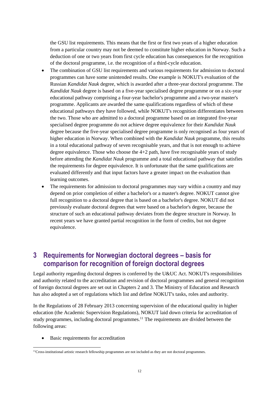the GSU list requirements. This means that the first or first two years of a higher education from a particular country may not be deemed to constitute higher education in Norway. Such a deduction of one or two years from first cycle education has consequences for the recognition of the doctoral programme, i.e. the recognition of a third-cycle education.

- The combination of GSU list requirements and various requirements for admission to doctoral programmes can have some unintended results. One example is NOKUT's evaluation of the Russian *Kandidat Nauk* degree, which is awarded after a three-year doctoral programme. The *Kandidat Nauk* degree is based on a five-year specialised degree programme or on a six-year educational pathway comprising a four-year bachelor's programme and a two-year master's programme. Applicants are awarded the same qualifications regardless of which of these educational pathways they have followed, while NOKUT's recognition differentiates between the two. Those who are admitted to a doctoral programme based on an integrated five-year specialised degree programme do not achieve degree equivalence for their *Kandidat Nauk* degree because the five-year specialised degree programme is only recognised as four years of higher education in Norway. When combined with the *Kandidat Nauk* programme, this results in a total educational pathway of seven recognisable years, and that is not enough to achieve degree equivalence. Those who choose the  $4+2$  path, have five recognisable years of study before attending the *Kandidat Nauk* programme and a total educational pathway that satisfies the requirements for degree equivalence. It is unfortunate that the same qualifications are evaluated differently and that input factors have a greater impact on the evaluation than learning outcomes.
- The requirements for admission to doctoral programmes may vary within a country and may depend on prior completion of either a bachelor's or a master's degree. NOKUT cannot give full recognition to a doctoral degree that is based on a bachelor's degree. NOKUT did not previously evaluate doctoral degrees that were based on a bachelor's degree, because the structure of such an educational pathway deviates from the degree structure in Norway. In recent years we have granted partial recognition in the form of credits, but not degree equivalence.

### <span id="page-13-0"></span>**3 Requirements for Norwegian doctoral degrees – basis for comparison for recognition of foreign doctoral degrees**

Legal authority regarding doctoral degrees is conferred by the U&UC Act. NOKUT's responsibilities and authority related to the accreditation and revision of doctoral programmes and general recognition of foreign doctoral degrees are set out in Chapters 2 and 3. The Ministry of Education and Research has also adopted a set of regulations which list and define NOKUT's tasks, roles and authority.

In the Regulations of 28 February 2013 concerning supervision of the educational quality in higher education (the Academic Supervision Regulations), NOKUT laid down criteria for accreditation of study programmes, including doctoral programmes.<sup>11</sup> The requirements are divided between the following areas:

• Basic requirements for accreditation

 $\overline{\phantom{a}}$ <sup>11</sup>Cross-institutional artistic research fellowship programmes are not included as they are not doctoral programmes.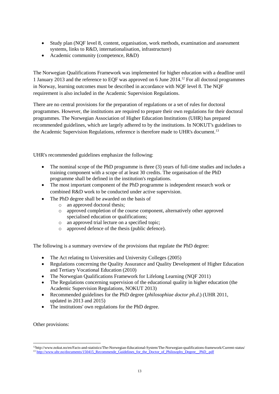- Study plan (NQF level 8, content, organisation, work methods, examination and assessment systems, links to R&D, internationalisation, infrastructure)
- Academic community (competence, R&D)

The Norwegian Qualifications Framework was implemented for higher education with a deadline until 1 January 2013 and the reference to EQF was approved on 6 June 2014.<sup>12</sup> For all doctoral programmes in Norway, learning outcomes must be described in accordance with NQF level 8. The NQF requirement is also included in the Academic Supervision Regulations.

There are no central provisions for the preparation of regulations or a set of rules for doctoral programmes. However, the institutions are required to prepare their own regulations for their doctoral programmes. The Norwegian Association of Higher Education Institutions (UHR) has prepared recommended guidelines, which are largely adhered to by the institutions. In NOKUT's guidelines to the Academic Supervision Regulations, reference is therefore made to UHR's document.<sup>13</sup>

UHR's recommended guidelines emphasize the following:

- The nominal scope of the PhD programme is three (3) years of full-time studies and includes a training component with a scope of at least 30 credits. The organisation of the PhD programme shall be defined in the institution's regulations.
- The most important component of the PhD programme is independent research work or combined R&D work to be conducted under active supervision.
- The PhD degree shall be awarded on the basis of
	- o an approved doctoral thesis;
	- o approved completion of the course component, alternatively other approved specialised education or qualifications:
	- o an approved trial lecture on a specified topic;
	- o approved defence of the thesis (public defence).

The following is a summary overview of the provisions that regulate the PhD degree:

- The Act relating to Universities and University Colleges (2005)
- Regulations concerning the Quality Assurance and Quality Development of Higher Education and Tertiary Vocational Education (2010)
- The Norwegian Qualifications Framework for Lifelong Learning (NQF 2011)
- The Regulations concerning supervision of the educational quality in higher education (the Academic Supervision Regulations, NOKUT 2013)
- Recommended guidelines for the PhD degree (*philosophiae doctor ph.d*.) (UHR 2011, updated in 2013 and 2015)
- The institutions' own regulations for the PhD degree.

Other provisions:

l

<sup>12</sup>http://www.nokut.no/en/Facts-and-statistics/The-Norwegian-Educational-System/The-Norwegian-qualifications-framework/Current-status/ <sup>13</sup> [http://www.uhr.no/documents/150415\\_Recommende\\_Guidelines\\_for\\_the\\_Doctor\\_of\\_Philosophy\\_Degree\\_\\_PhD\\_.pdf](http://www.uhr.no/documents/150415_Recommende_Guidelines_for_the_Doctor_of_Philosophy_Degree__PhD_.pdf)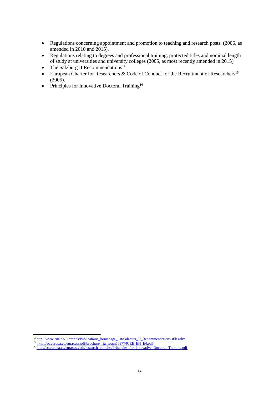- Regulations concerning appointment and promotion to teaching and research posts, (2006, as amended in 2010 and 2015).
- Regulations relating to degrees and professional training, protected titles and nominal length of study at universities and university colleges (2005, as most recently amended in 2015)
- The Salzburg II Recommendations $14$
- European Charter for Researchers  $\&$  Code of Conduct for the Recruitment of Researchers<sup>15</sup>  $(2005)$ .
- <span id="page-15-0"></span>• Principles for Innovative Doctoral Training<sup>16</sup>

l <sup>14</sup> [http://www.eua.be/Libraries/Publications\\_homepage\\_list/Salzburg\\_II\\_Recommendations.sflb.ashx](http://www.eua.be/Libraries/Publications_homepage_list/Salzburg_II_Recommendations.sflb.ashx)

<sup>&</sup>lt;sup>15</sup> [http://ec.europa.eu/euraxess/pdf/brochure\\_rights/am509774CEE\\_EN\\_E4.pdf](http://ec.europa.eu/euraxess/pdf/brochure_rights/am509774CEE_EN_E4.pdfuropa.eu/euraxess/pdf/brochure_rights/am509774CEE_EN_E4.pdf)

<sup>&</sup>lt;sup>16</sup> [http://ec.europa.eu/euraxess/pdf/research\\_policies/Principles\\_for\\_Innovative\\_Doctoral\\_Training.pdf](http://ec.europa.eu/euraxess/pdf/research_policies/Principles_for_Innovative_Doctoral_Training.pdf)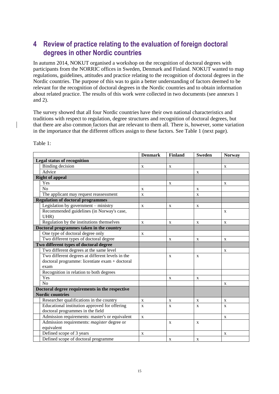# **4 Review of practice relating to the evaluation of foreign doctoral degrees in other Nordic countries**

In autumn 2014, NOKUT organised a workshop on the recognition of doctoral degrees with participants from the NORRIC offices in Sweden, Denmark and Finland. NOKUT wanted to map regulations, guidelines, attitudes and practice relating to the recognition of doctoral degrees in the Nordic countries. The purpose of this was to gain a better understanding of factors deemed to be relevant for the recognition of doctoral degrees in the Nordic countries and to obtain information about related practice. The results of this work were collected in two documents (see annexes 1 and 2).

The survey showed that all four Nordic countries have their own national characteristics and traditions with respect to regulation, degree structures and recognition of doctoral degrees, but that there are also common factors that are relevant to them all. There is, however, some variation in the importance that the different offices assign to these factors. See Table 1 (next page).

|                                                  | <b>Denmark</b> | <b>Finland</b> | <b>Sweden</b> | <b>Norway</b> |
|--------------------------------------------------|----------------|----------------|---------------|---------------|
| <b>Legal status of recognition</b>               |                |                |               |               |
| Binding decision                                 | X              | X              |               | X             |
| Advice                                           |                |                | X             |               |
| <b>Right of appeal</b>                           |                |                |               |               |
| Yes                                              |                | X              |               | X             |
| N <sub>0</sub>                                   | X              |                | X             |               |
| The applicant may request reassessment           | X              |                | X             |               |
| <b>Regulation of doctoral programmes</b>         |                |                |               |               |
| Legislation by government - ministry             | $\mathbf{X}$   | X              | X             |               |
| Recommended guidelines (in Norway's case,        |                |                |               | X             |
| UHR)                                             |                |                |               |               |
| Regulation by the institutions themselves        | X              | X              | X             | X             |
| Doctoral programmes taken in the country         |                |                |               |               |
| One type of doctoral degree only                 | X              |                |               |               |
| Two different types of doctoral degree           |                | $\mathbf X$    | $\mathbf X$   | X             |
| Two different types of doctoral degree           |                |                |               |               |
| Two different degrees at the same level          |                |                |               | X             |
| Two different degrees at different levels in the |                | X              | X             |               |
| doctoral programme: licentiate exam + doctoral   |                |                |               |               |
| exam                                             |                |                |               |               |
| Recognition in relation to both degrees          |                |                |               |               |
| Yes                                              |                | X              | X             |               |
| N <sub>o</sub>                                   |                |                |               | X             |
| Doctoral degree requirements in the respective   |                |                |               |               |
| <b>Nordic countries</b>                          |                |                |               |               |
| Researcher qualifications in the country         | $\mathbf{X}$   | X              | X             | X             |
| Educational institution approved for offering    | $\mathbf{x}$   | X              | $\mathbf{x}$  | X             |
| doctoral programmes in the field                 |                |                |               |               |
| Admission requirements: master's or equivalent   | $\mathbf X$    |                |               | X             |
| Admission requirements: magister degree or       |                | X              | X             |               |
| equivalent                                       |                |                |               |               |
| Defined scope of 3 years                         | $\mathbf X$    |                |               | X             |
| Defined scope of doctoral programme              |                | X              | X             |               |

Table 1: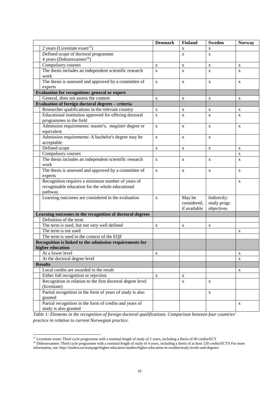|                                                            | <b>Denmark</b> | <b>Finland</b> | <b>Sweden</b> | <b>Norway</b> |
|------------------------------------------------------------|----------------|----------------|---------------|---------------|
| $2$ years (Licentiate exam <sup>17</sup> )                 |                | X              | X             |               |
| Defined scope of doctoral programme                        |                | $\mathbf X$    | X             |               |
| 4 years (Doktorexamen <sup>18</sup> )                      |                |                |               |               |
| Compulsory courses                                         | X              | $\mathbf X$    | X             | $\mathbf X$   |
| The thesis includes an independent scientific research     | X              | X              | X             | X             |
| work                                                       |                |                |               |               |
| The thesis is assessed and approved by a committee of      | X              | $\mathbf X$    | $\mathbf X$   | $\mathbf X$   |
| experts                                                    |                |                |               |               |
| <b>Evaluation for recognition: general or expert</b>       |                |                |               |               |
| General, does not assess the content                       | X              | X              | X             | X             |
| Evaluation of foreign doctoral degrees - criteria          |                |                |               |               |
| Researcher qualifications in the relevant country          | $\mathbf X$    | $\mathbf X$    | X             | $\mathbf X$   |
| Educational institution approved for offering doctoral     | X              | X              | X             | $\mathbf{x}$  |
| programmes in the field                                    |                |                |               |               |
| Admission requirements: master's, magister degree or       | $\mathbf X$    | $\mathbf X$    | X             | $\mathbf X$   |
| equivalent                                                 |                |                |               |               |
| Admission requirements: A bachelor's degree may be         | $\mathbf X$    | $\mathbf X$    | X             |               |
| acceptable                                                 |                |                |               |               |
| Defined scope                                              | $\mathbf X$    | X              | X             | $\mathbf X$   |
| Compulsory courses                                         |                |                |               | $\mathbf X$   |
| The thesis includes an independent scientific research     | $\mathbf X$    | $\mathbf X$    | X             | X             |
| work                                                       |                |                |               |               |
| The thesis is assessed and approved by a committee of      | X              | $\mathbf X$    | X             | $\mathbf X$   |
| experts                                                    |                |                |               |               |
| Recognition requires a minimum number of years of          |                |                |               | X             |
| recognisable education for the whole educational           |                |                |               |               |
| pathway.                                                   |                |                |               |               |
| Learning outcomes are considered in the evaluation         | X              | May be         | Indirectly:   |               |
|                                                            |                | considered,    | study progr.  |               |
|                                                            |                | if available   | objectives    |               |
| Learning outcomes in the recognition of doctoral degrees   |                |                |               |               |
| Definition of the term                                     |                |                |               |               |
| The term is used, but not very well defined                | $\mathbf X$    | $\mathbf X$    | X             |               |
| The term is not used                                       |                |                |               | X             |
| The term is used in the context of the EQF                 |                |                |               |               |
| Recognition is linked to the admission requirements for    |                |                |               |               |
| higher education                                           |                |                |               |               |
| At a lower level                                           | X              |                |               | X             |
| At the doctoral degree level                               |                |                |               | X             |
| <b>Results</b>                                             |                |                |               |               |
| Local credits are awarded in the result                    |                |                |               | X             |
| Either full recognition or rejection                       | X              | X              |               |               |
| Recognition in relation to the first doctoral degree level |                | $\mathbf X$    | X             |               |
| (licentiate)                                               |                |                |               |               |
| Partial recognition in the form of years of study is also  |                |                | X             |               |
| granted                                                    |                |                |               |               |
| Partial recognition in the form of credits and years of    |                |                |               | X             |
| study is also granted                                      |                |                |               |               |

*Table 1: Elements in the recognition of foreign doctoral qualifications. Comparison between four countries' practice in relation to current Norwegian practice.*

l

 $17$  Licentiate exam: Third cycle programme with a nominal length of study of 2 years, including a thesis of 60 credits/ECT

<sup>&</sup>lt;sup>18</sup> Doktorexamen: Third cycle programme with a nominal length of study of 4 years, including a thesis of at least 120 credits/ECTS For more information, see: http://studera.nu/startpage/higher-education-studies/higher-education-in-sweden/study-levels-and-degrees/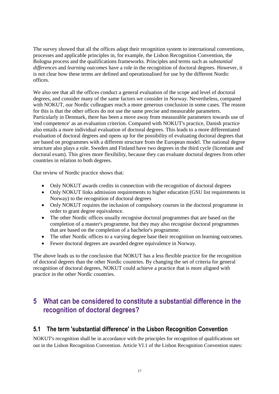The survey showed that all the offices adapt their recognition system to international conventions, processes and applicable principles in, for example, the Lisbon Recognition Convention, the Bologna process and the qualifications frameworks. Principles and terms such as *substantial differences* and *learning outcomes* have a role in the recognition of doctoral degrees. However, it is not clear how these terms are defined and operationalised for use by the different Nordic offices.

We also see that all the offices conduct a general evaluation of the scope and level of doctoral degrees, and consider many of the same factors we consider in Norway. Nevertheless, compared with NOKUT, our Nordic colleagues reach a more generous conclusion in some cases. The reason for this is that the other offices do not use the same precise and measurable parameters. Particularly in Denmark, there has been a move away from measurable parameters towards use of 'end competence' as an evaluation criterion. Compared with NOKUT's practice, Danish practice also entails a more individual evaluation of doctoral degrees. This leads to a more differentiated evaluation of doctoral degrees and opens up for the possibility of evaluating doctoral degrees that are based on programmes with a different structure from the European model. The national degree structure also plays a role. Sweden and Finland have two degrees in the third cycle (licentiate and doctoral exam). This gives more flexibility, because they can evaluate doctoral degrees from other countries in relation to both degrees.

Our review of Nordic practice shows that:

- Only NOKUT awards credits in connection with the recognition of doctoral degrees
- Only NOKUT links admission requirements to higher education (GSU list requirements in Norway) to the recognition of doctoral degrees
- Only NOKUT requires the inclusion of compulsory courses in the doctoral programme in order to grant degree equivalence.
- The other Nordic offices usually recognise doctoral programmes that are based on the completion of a master's programme, but they may also recognise doctoral programmes that are based on the completion of a bachelor's programme.
- The other Nordic offices to a varying degree base their recognition on learning outcomes.
- Fewer doctoral degrees are awarded degree equivalence in Norway.

The above leads us to the conclusion that NOKUT has a less flexible practice for the recognition of doctoral degrees than the other Nordic countries. By changing the set of criteria for general recognition of doctoral degrees, NOKUT could achieve a practice that is more aligned with practice in the other Nordic countries.

### <span id="page-18-0"></span>**5 What can be considered to constitute a substantial difference in the recognition of doctoral degrees?**

### <span id="page-18-1"></span>**5.1 The term 'substantial difference' in the Lisbon Recognition Convention**

NOKUT's recognition shall be in accordance with the principles for recognition of qualifications set out in the Lisbon Recognition Convention. Article VI.1 of the Lisbon Recognition Convention states: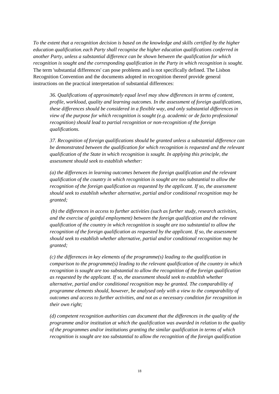*To the extent that a recognition decision is based on the knowledge and skills certified by the higher education qualification*, *each Party shall recognise the higher education qualifications conferred in another Party, unless a substantial difference can be shown between the qualification for which recognition is sought and the corresponding qualification in the Party in which recognition is sought.* The term 'substantial differences' can pose problems and is not specifically defined. The Lisbon Recognition Convention and the documents adopted in recognition thereof provide general instructions on the practical interpretation of substantial differences:

*36. Qualifications of approximately equal level may show differences in terms of content, profile, workload, quality and learning outcomes. In the assessment of foreign qualifications, these differences should be considered in a flexible way, and only substantial differences in view of the purpose for which recognition is sought (e.g. academic or de facto professional recognition) should lead to partial recognition or non-recognition of the foreign qualifications.* 

*37. Recognition of foreign qualifications should be granted unless a substantial difference can be demonstrated between the qualification for which recognition is requested and the relevant qualification of the State in which recognition is sought. In applying this principle, the assessment should seek to establish whether:* 

*(a) the differences in learning outcomes between the foreign qualification and the relevant qualification of the country in which recognition is sought are too substantial to allow the recognition of the foreign qualification as requested by the applicant. If so, the assessment should seek to establish whether alternative, partial and/or conditional recognition may be granted;*

*(b) the differences in access to further activities (such as further study, research activities, and the exercise of gainful employment) between the foreign qualification and the relevant qualification of the country in which recognition is sought are too substantial to allow the recognition of the foreign qualification as requested by the applicant. If so, the assessment should seek to establish whether alternative, partial and/or conditional recognition may be granted;* 

*(c) the differences in key elements of the programme(s) leading to the qualification in comparison to the programme(s) leading to the relevant qualification of the country in which recognition is sought are too substantial to allow the recognition of the foreign qualification as requested by the applicant. If so, the assessment should seek to establish whether alternative, partial and/or conditional recognition may be granted. The comparability of programme elements should, however, be analysed only with a view to the comparability of outcomes and access to further activities, and not as a necessary condition for recognition in their own right;* 

*(d) competent recognition authorities can document that the differences in the quality of the programme and/or institution at which the qualification was awarded in relation to the quality of the programmes and/or institutions granting the similar qualification in terms of which recognition is sought are too substantial to allow the recognition of the foreign qualification*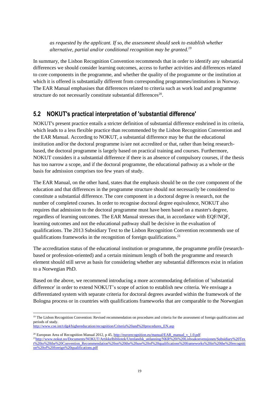*as requested by the applicant. If so, the assessment should seek to establish whether alternative, partial and/or conditional recognition may be granted.<sup>19</sup>*

In summary, the Lisbon Recognition Convention recommends that in order to identify any substantial differences we should consider learning outcomes, access to further activities and differences related to core components in the programme, and whether the quality of the programme or the institution at which it is offered is substantially different from corresponding programmes/institutions in Norway. The EAR Manual emphasises that differences related to criteria such as work load and programme structure do not necessarily constitute substantial differences<sup>20</sup>.

### <span id="page-20-0"></span>**5.2 NOKUT's practical interpretation of 'substantial difference'**

NOKUT's present practice entails a stricter definition of substantial difference enshrined in its criteria, which leads to a less flexible practice than recommended by the Lisbon Recognition Convention and the EAR Manual. According to NOKUT, a substantial difference may be that the educational institution and/or the doctoral programme is/are not accredited or that, rather than being researchbased, the doctoral programme is largely based on practical training and courses. Furthermore, NOKUT considers it a substantial difference if there is an absence of compulsory courses, if the thesis has too narrow a scope, and if the doctoral programme, the educational pathway as a whole or the basis for admission comprises too few years of study.

The EAR Manual, on the other hand, states that the emphasis should be on the core component of the education and that differences in the programme structure should not necessarily be considered to constitute a substantial difference. The core component in a doctoral degree is research, not the number of completed courses. In order to recognise doctoral degree equivalence, NOKUT also requires that admission to the doctoral programme must have been based on a master's degree, regardless of learning outcomes. The EAR Manual stresses that, in accordance with EQF/NQF, learning outcomes and not the educational pathway shall be decisive in the evaluation of qualifications. The 2013 Subsidiary Text to the Lisbon Recognition Convention recommends use of qualifications frameworks in the recognition of foreign qualifications.<sup>21</sup>

The accreditation status of the educational institution or programme, the programme profile (researchbased or profession-oriented) and a certain minimum length of both the programme and research element should still serve as basis for considering whether any substantial differences exist in relation to a Norwegian PhD.

Based on the above, we recommend introducing a more accommodating definition of 'substantial difference' in order to extend NOKUT's scope of action to establish new criteria. We envisage a differentiated system with separate criteria for doctoral degrees awarded within the framework of the Bologna process or in countries with qualifications frameworks that are comparable to the Norwegian

 $\overline{a}$ 

<sup>&</sup>lt;sup>19</sup> The Lisbon Recognition Convention: Revised recommendation on procedures and criteria for the assessment of foreign qualifications and periods of study.

[http://www.coe.int/t/dg4/highereducation/recognition/Criteria%20and%20procedures\\_EN.asp](http://www.coe.int/t/dg4/highereducation/recognition/Criteria%20and%20procedures_EN.asp)

<sup>&</sup>lt;sup>20</sup> European Area of Recognition Manual 2012, p 45[, http://eurorecognition.eu/manual/EAR\\_manual\\_v\\_1.0.pdf](http://eurorecognition.eu/manual/EAR_manual_v_1.0.pdf) <sup>21</sup>[http://www.nokut.no/Documents/NOKUT/Artikkelbibliotek/Utenlandsk\\_utdanning/NKR%20i%20Lisboakonvensjonen/Subsidiary%20Tex](http://www.nokut.no/Documents/NOKUT/Artikkelbibliotek/Utenlandsk_utdanning/NKR%20i%20Lisboakonvensjonen/Subsidiary%20Text%20to%20the%20Convention_Recommendation%20on%20the%20use%20of%20qualifications%20frameworks%20in%20the%20recognition%20of%20foreign%20qualifications.pdf) [t%20to%20the%20Convention\\_Recommendation%20on%20the%20use%20of%20qualifications%20frameworks%20in%20the%20recogniti](http://www.nokut.no/Documents/NOKUT/Artikkelbibliotek/Utenlandsk_utdanning/NKR%20i%20Lisboakonvensjonen/Subsidiary%20Text%20to%20the%20Convention_Recommendation%20on%20the%20use%20of%20qualifications%20frameworks%20in%20the%20recognition%20of%20foreign%20qualifications.pdf) [on%20of%20foreign%20qualifications.pdf](http://www.nokut.no/Documents/NOKUT/Artikkelbibliotek/Utenlandsk_utdanning/NKR%20i%20Lisboakonvensjonen/Subsidiary%20Text%20to%20the%20Convention_Recommendation%20on%20the%20use%20of%20qualifications%20frameworks%20in%20the%20recognition%20of%20foreign%20qualifications.pdf)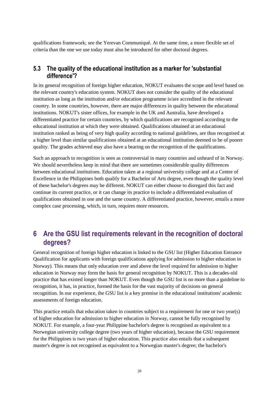qualifications framework; see the Yerevan Communiqué. At the same time, a more flexible set of criteria than the one we use today must also be introduced for other doctoral degrees.

#### <span id="page-21-0"></span>**5.3 The quality of the educational institution as a marker for 'substantial difference'?**

In its general recognition of foreign higher education, NOKUT evaluates the scope and level based on the relevant country's education system. NOKUT does not consider the quality of the educational institution as long as the institution and/or education programme is/are accredited in the relevant country. In some countries, however, there are major differences in quality between the educational institutions. NOKUT's sister offices, for example in the UK and Australia, have developed a differentiated practice for certain countries, by which qualifications are recognised according to the educational institution at which they were obtained. Qualifications obtained at an educational institution ranked as being of very high quality according to national guidelines, are thus recognised at a higher level than similar qualifications obtained at an educational institution deemed to be of poorer quality. The grades achieved may also have a bearing on the recognition of the qualifications.

Such an approach to recognition is seen as controversial in many countries and unheard of in Norway. We should nevertheless keep in mind that there are sometimes considerable quality differences between educational institutions. Education taken at a regional university college and at a Centre of Excellence in the Philippines both qualify for a Bachelor of Arts degree, even though the quality level of these bachelor's degrees may be different. NOKUT can either choose to disregard this fact and continue its current practice, or it can change its practice to include a differentiated evaluation of qualifications obtained in one and the same country. A differentiated practice, however, entails a more complex case processing, which, in turn, requires more resources.

### <span id="page-21-1"></span>**6 Are the GSU list requirements relevant in the recognition of doctoral degrees?**

General recognition of foreign higher education is linked to the GSU list (Higher Education Entrance Qualification for applicants with foreign qualifications applying for admission to higher education in Norway). This means that only education over and above the level required for admission to higher education in Norway may form the basis for general recognition by NOKUT. This is a decades-old practice that has existed longer than NOKUT. Even though the GSU list is no more than a guideline to recognition, it has, in practice, formed the basis for the vast majority of decisions on general recognition. In our experience, the GSU list is a key premise in the educational institutions' academic assessments of foreign education.

This practice entails that education taken in countries subject to a requirement for one or two year(s) of higher education for admission to higher education in Norway, cannot be fully recognised by NOKUT. For example, a four-year Philippine bachelor's degree is recognised as equivalent to a Norwegian university college degree (two years of higher education), because the GSU requirement for the Philippines is two years of higher education. This practice also entails that a subsequent master's degree is not recognised as equivalent to a Norwegian master's degree; the bachelor's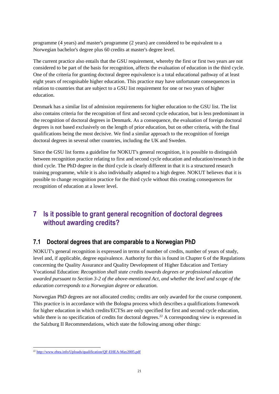programme (4 years) and master's programme (2 years) are considered to be equivalent to a Norwegian bachelor's degree plus 60 credits at master's degree level.

The current practice also entails that the GSU requirement, whereby the first or first two years are not considered to be part of the basis for recognition, affects the evaluation of education in the third cycle. One of the criteria for granting doctoral degree equivalence is a total educational pathway of at least eight years of recognisable higher education. This practice may have unfortunate consequences in relation to countries that are subject to a GSU list requirement for one or two years of higher education.

Denmark has a similar list of admission requirements for higher education to the GSU list. The list also contains criteria for the recognition of first and second cycle education, but is less predominant in the recognition of doctoral degrees in Denmark. As a consequence, the evaluation of foreign doctoral degrees is not based exclusively on the length of prior education, but on other criteria, with the final qualifications being the most decisive. We find a similar approach to the recognition of foreign doctoral degrees in several other countries, including the UK and Sweden.

Since the GSU list forms a guideline for NOKUT's general recognition, it is possible to distinguish between recognition practice relating to first and second cycle education and education/research in the third cycle. The PhD degree in the third cycle is clearly different in that it is a structured research training programme, while it is also individually adapted to a high degree. NOKUT believes that it is possible to change recognition practice for the third cycle without this creating consequences for recognition of education at a lower level.

# <span id="page-22-0"></span>**7 Is it possible to grant general recognition of doctoral degrees without awarding credits?**

### <span id="page-22-1"></span>**7.1 Doctoral degrees that are comparable to a Norwegian PhD**

NOKUT's general recognition is expressed in terms of number of credits, number of years of study, level and, if applicable, degree equivalence. Authority for this is found in Chapter 6 of the Regulations concerning the Quality Assurance and Quality Development of Higher Education and Tertiary Vocational Education: *Recognition shall state credits towards degrees or professional education awarded pursuant to Section 3-2 of the above-mentioned Act, and whether the level and scope of the education corresponds to a Norwegian degree or education.*

Norwegian PhD degrees are not allocated credits; credits are only awarded for the course component. This practice is in accordance with the Bologna process which describes a qualifications framework for higher education in which credits/ECTSs are only specified for first and second cycle education, while there is no specification of credits for doctoral degrees.<sup>22</sup> A corresponding view is expressed in the Salzburg II Recommendations, which state the following among other things:

 $\overline{\phantom{a}}$ <sup>22</sup> <http://www.ehea.info/Uploads/qualification/QF-EHEA-May2005.pdf>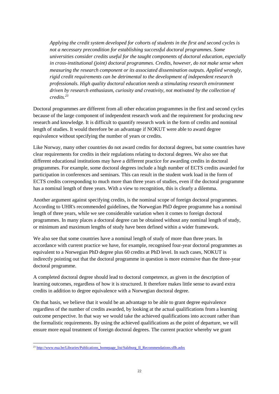*Applying the credit system developed for cohorts of students in the first and second cycles is not a necessary precondition for establishing successful doctoral programmes. Some universities consider credits useful for the taught components of doctoral education, especially in cross-institutional (joint) doctoral programmes. Credits, however, do not make sense when measuring the research component or its associated dissemination outputs. Applied wrongly, rigid credit requirements can be detrimental to the development of independent research professionals. High quality doctoral education needs a stimulating research environment driven by research enthusiasm, curiosity and creativity, not motivated by the collection of credits.<sup>23</sup>*

Doctoral programmes are different from all other education programmes in the first and second cycles because of the large component of independent research work and the requirement for producing new research and knowledge. It is difficult to quantify research work in the form of credits and nominal length of studies. It would therefore be an advantage if NOKUT were able to award degree equivalence without specifying the number of years or credits.

Like Norway, many other countries do not award credits for doctoral degrees, but some countries have clear requirements for credits in their regulations relating to doctoral degrees. We also see that different educational institutions may have a different practice for awarding credits in doctoral programmes. For example, some doctoral degrees include a high number of ECTS credits awarded for participation in conferences and seminars. This can result in the student work load in the form of ECTS credits corresponding to much more than three years of studies, even if the doctoral programme has a nominal length of three years. With a view to recognition, this is clearly a dilemma.

Another argument against specifying credits, is the nominal scope of foreign doctoral programmes. According to UHR's recommended guidelines, the Norwegian PhD degree programme has a nominal length of three years, while we see considerable variation when it comes to foreign doctoral programmes. In many places a doctoral degree can be obtained without any nominal length of study, or minimum and maximum lengths of study have been defined within a wider framework.

We also see that some countries have a nominal length of study of more than three years. In accordance with current practice we have, for example, recognised four-year doctoral programmes as equivalent to a Norwegian PhD degree plus 60 credits at PhD level. In such cases, NOKUT is indirectly pointing out that the doctoral programme in question is more extensive than the three-year doctoral programme.

A completed doctoral degree should lead to doctoral competence, as given in the description of learning outcomes, regardless of how it is structured. It therefore makes little sense to award extra credits in addition to degree equivalence with a Norwegian doctoral degree.

On that basis, we believe that it would be an advantage to be able to grant degree equivalence regardless of the number of credits awarded, by looking at the actual qualifications from a learning outcome perspective. In that way we would take the achieved qualifications into account rather than the formalistic requirements. By using the achieved qualifications as the point of departure, we will ensure more equal treatment of foreign doctoral degrees. The current practice whereby we grant

l <sup>23</sup> [http://www.eua.be/Libraries/Publications\\_homepage\\_list/Salzburg\\_II\\_Recommendations.sflb.ashx](http://www.eua.be/Libraries/Publications_homepage_list/Salzburg_II_Recommendations.sflb.ashx)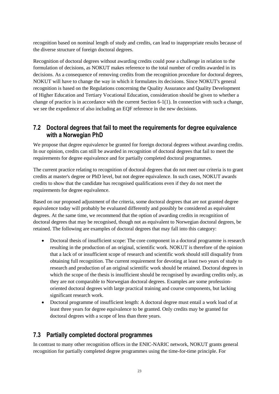recognition based on nominal length of study and credits, can lead to inappropriate results because of the diverse structure of foreign doctoral degrees.

Recognition of doctoral degrees without awarding credits could pose a challenge in relation to the formulation of decisions, as NOKUT makes reference to the total number of credits awarded in its decisions. As a consequence of removing credits from the recognition procedure for doctoral degrees, NOKUT will have to change the way in which it formulates its decisions. Since NOKUT's general recognition is based on the Regulations concerning the Quality Assurance and Quality Development of Higher Education and Tertiary Vocational Education, consideration should be given to whether a change of practice is in accordance with the current Section 6-1(1). In connection with such a change, we see the expedience of also including an EQF reference in the new decisions.

### <span id="page-24-0"></span>**7.2 Doctoral degrees that fail to meet the requirements for degree equivalence with a Norwegian PhD**

We propose that degree equivalence be granted for foreign doctoral degrees without awarding credits. In our opinion, credits can still be awarded in recognition of doctoral degrees that fail to meet the requirements for degree equivalence and for partially completed doctoral programmes.

The current practice relating to recognition of doctoral degrees that do not meet our criteria is to grant credits at master's degree or PhD level, but not degree equivalence. In such cases, NOKUT awards credits to show that the candidate has recognised qualifications even if they do not meet the requirements for degree equivalence.

Based on our proposed adjustment of the criteria, some doctoral degrees that are not granted degree equivalence today will probably be evaluated differently and possibly be considered as equivalent degrees. At the same time, we recommend that the option of awarding credits in recognition of doctoral degrees that may be recognised, though not as equivalent to Norwegian doctoral degrees, be retained. The following are examples of doctoral degrees that may fall into this category:

- Doctoral thesis of insufficient scope: The core component in a doctoral programme is research resulting in the production of an original, scientific work. NOKUT is therefore of the opinion that a lack of or insufficient scope of research and scientific work should still disqualify from obtaining full recognition. The current requirement for devoting at least two years of study to research and production of an original scientific work should be retained. Doctoral degrees in which the scope of the thesis is insufficient should be recognised by awarding credits only, as they are not comparable to Norwegian doctoral degrees. Examples are some professionoriented doctoral degrees with large practical training and course components, but lacking significant research work.
- Doctoral programme of insufficient length: A doctoral degree must entail a work load of at least three years for degree equivalence to be granted. Only credits may be granted for doctoral degrees with a scope of less than three years.

### <span id="page-24-1"></span>**7.3 Partially completed doctoral programmes**

In contrast to many other recognition offices in the ENIC-NARIC network, NOKUT grants general recognition for partially completed degree programmes using the time-for-time principle. For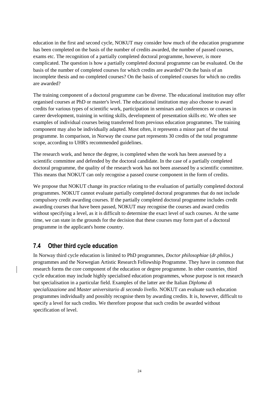education in the first and second cycle, NOKUT may consider how much of the education programme has been completed on the basis of the number of credits awarded, the number of passed courses, exams etc. The recognition of a partially completed doctoral programme, however, is more complicated. The question is how a partially completed doctoral programme can be evaluated. On the basis of the number of completed courses for which credits are awarded? On the basis of an incomplete thesis and no completed courses? On the basis of completed courses for which no credits are awarded?

The training component of a doctoral programme can be diverse. The educational institution may offer organised courses at PhD or master's level. The educational institution may also choose to award credits for various types of scientific work, participation in seminars and conferences or courses in career development, training in writing skills, development of presentation skills etc. We often see examples of individual courses being transferred from previous education programmes. The training component may also be individually adapted. Most often, it represents a minor part of the total programme. In comparison, in Norway the course part represents 30 credits of the total programme scope, according to UHR's recommended guidelines.

The research work, and hence the degree, is completed when the work has been assessed by a scientific committee and defended by the doctoral candidate. In the case of a partially completed doctoral programme, the quality of the research work has not been assessed by a scientific committee. This means that NOKUT can only recognise a passed course component in the form of credits.

We propose that NOKUT change its practice relating to the evaluation of partially completed doctoral programmes. NOKUT cannot evaluate partially completed doctoral programmes that do not include compulsory credit awarding courses. If the partially completed doctoral programme includes credit awarding courses that have been passed, NOKUT may recognise the courses and award credits without specifying a level, as it is difficult to determine the exact level of such courses. At the same time, we can state in the grounds for the decision that these courses may form part of a doctoral programme in the applicant's home country.

### <span id="page-25-0"></span>**7.4 Other third cycle education**

In Norway third cycle education is limited to PhD programmes, *Doctor philosophiae* (*dr.philos.)*  programmes and the Norwegian Artistic Research Fellowship Programme. They have in common that research forms the core component of the education or degree programme. In other countries, third cycle education may include highly specialised education programmes, whose purpose is not research but specialisation in a particular field. Examples of the latter are the Italian *Diploma di specializzazione* and *Master universitario di secondo livello*. NOKUT can evaluate such education programmes individually and possibly recognise them by awarding credits. It is, however, difficult to specify a level for such credits. We therefore propose that such credits be awarded without specification of level.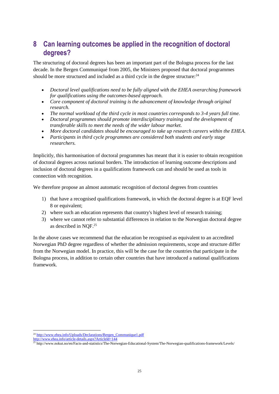# <span id="page-26-0"></span>**8 Can learning outcomes be applied in the recognition of doctoral degrees?**

The structuring of doctoral degrees has been an important part of the Bologna process for the last decade. In the Bergen Communiqué from 2005, the Ministers proposed that doctoral programmes should be more structured and included as a third cycle in the degree structure:  $24$ 

- *Doctoral level qualifications need to be fully aligned with the EHEA overarching framework for qualifications using the outcomes-based approach.*
- *Core component of doctoral training is the advancement of knowledge through original research.*
- *The normal workload of the third cycle in most countries corresponds to 3-4 years full time.*
- *Doctoral programmes should promote interdisciplinary training and the development of transferable skills to meet the needs of the wider labour market.*
- *More doctoral candidates should be encouraged to take up research careers within the EHEA.*
- *Participants in third cycle programmes are considered both students and early stage researchers.*

Implicitly, this harmonisation of doctoral programmes has meant that it is easier to obtain recognition of doctoral degrees across national borders. The introduction of learning outcome descriptions and inclusion of doctoral degrees in a qualifications framework can and should be used as tools in connection with recognition.

We therefore propose an almost automatic recognition of doctoral degrees from countries

- 1) that have a recognised qualifications framework, in which the doctoral degree is at EQF level 8 or equivalent;
- 2) where such an education represents that country's highest level of research training;
- 3) where we cannot refer to substantial differences in relation to the Norwegian doctoral degree as described in NQF.<sup>25</sup>

In the above cases we recommend that the education be recognised as equivalent to an accredited Norwegian PhD degree regardless of whether the admission requirements, scope and structure differ from the Norwegian model. In practice, this will be the case for the countries that participate in the Bologna process, in addition to certain other countries that have introduced a national qualifications framework.

 $\overline{a}$ <sup>24</sup> [http://www.ehea.info/Uploads/Declarations/Bergen\\_Communique1.pdf](http://www.ehea.info/Uploads/Declarations/Bergen_Communique1.pdf)

http://www.ehea.info/article-details.aspx?ArticleId=144

<sup>25</sup> http://www.nokut.no/en/Facts-and-statistics/The-Norwegian-Educational-System/The-Norwegian-qualifications-framework/Levels/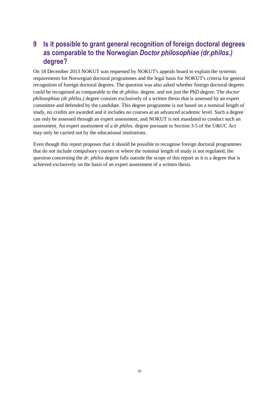### <span id="page-27-0"></span>**9 Is it possible to grant general recognition of foreign doctoral degrees as comparable to the Norwegian** *Doctor philosophiae (dr.philos.)* **degree?**

On 18 December 2013 NOKUT was requested by NOKUT's appeals board to explain the systemic requirements for Norwegian doctoral programmes and the legal basis for NOKUT's criteria for general recognition of foreign doctoral degrees. The question was also asked whether foreign doctoral degrees could be recognised as comparable to the *dr.philos.* degree, and not just the PhD degree. The *doctor philosophiae (dr.philos.)* degree consists exclusively of a written thesis that is assessed by an expert committee and defended by the candidate. This degree programme is not based on a nominal length of study, no credits are awarded and it includes no courses at an advanced academic level. Such a degree can only be assessed through an expert assessment, and NOKUT is not mandated to conduct such an assessment. An expert assessment of a *dr.philos.* degree pursuant to Section 3-5 of the U&UC Act may only be carried out by the educational institutions.

Even though this report proposes that it should be possible to recognise foreign doctoral programmes that do not include compulsory courses or where the nominal length of study is not regulated, the question concerning the *dr. philos* degree falls outside the scope of this report as it is a degree that is achieved exclusively on the basis of an expert assessment of a written thesis.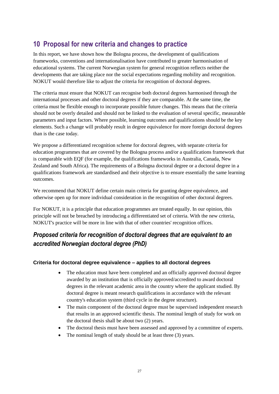# <span id="page-28-0"></span>**10 Proposal for new criteria and changes to practice**

In this report, we have shown how the Bologna process, the development of qualifications frameworks, conventions and internationalisation have contributed to greater harmonisation of educational systems. The current Norwegian system for general recognition reflects neither the developments that are taking place nor the social expectations regarding mobility and recognition. NOKUT would therefore like to adjust the criteria for recognition of doctoral degrees.

The criteria must ensure that NOKUT can recognise both doctoral degrees harmonised through the international processes and other doctoral degrees if they are comparable. At the same time, the criteria must be flexible enough to incorporate possible future changes. This means that the criteria should not be overly detailed and should not be linked to the evaluation of several specific, measurable parameters and input factors. Where possible, learning outcomes and qualifications should be the key elements. Such a change will probably result in degree equivalence for more foreign doctoral degrees than is the case today.

We propose a differentiated recognition scheme for doctoral degrees, with separate criteria for education programmes that are covered by the Bologna process and/or a qualifications framework that is comparable with EQF (for example, the qualifications frameworks in Australia, Canada, New Zealand and South Africa). The requirements of a Bologna doctoral degree or a doctoral degree in a qualifications framework are standardised and their objective is to ensure essentially the same learning outcomes.

We recommend that NOKUT define certain main criteria for granting degree equivalence, and otherwise open up for more individual consideration in the recognition of other doctoral degrees.

For NOKUT, it is a principle that education programmes are treated equally. In our opinion, this principle will not be breached by introducing a differentiated set of criteria. With the new criteria, NOKUT's practice will be more in line with that of other countries' recognition offices.

### *Proposed criteria for recognition of doctoral degrees that are equivalent to an accredited Norwegian doctoral degree (PhD)*

#### **Criteria for doctoral degree equivalence – applies to all doctoral degrees**

- The education must have been completed and an officially approved doctoral degree awarded by an institution that is officially approved/accredited to award doctoral degrees in the relevant academic area in the country where the applicant studied. By doctoral degree is meant research qualifications in accordance with the relevant country's education system (third cycle in the degree structure).
- The main component of the doctoral degree must be supervised independent research that results in an approved scientific thesis. The nominal length of study for work on the doctoral thesis shall be about two (2) years.
- The doctoral thesis must have been assessed and approved by a committee of experts.
- The nominal length of study should be at least three (3) years.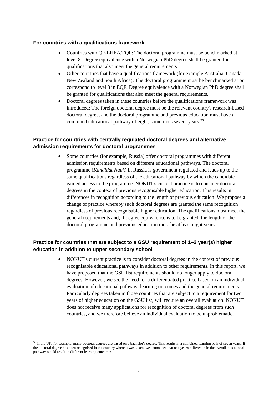#### **For countries with a qualifications framework**

- Countries with QF-EHEA/EQF: The doctoral programme must be benchmarked at level 8. Degree equivalence with a Norwegian PhD degree shall be granted for qualifications that also meet the general requirements.
- Other countries that have a qualifications framework (for example Australia, Canada, New Zealand and South Africa): The doctoral programme must be benchmarked at or correspond to level 8 in EQF. Degree equivalence with a Norwegian PhD degree shall be granted for qualifications that also meet the general requirements.
- Doctoral degrees taken in these countries before the qualifications framework was introduced: The foreign doctoral degree must be the relevant country's research-based doctoral degree, and the doctoral programme and previous education must have a combined educational pathway of eight, sometimes seven, years.<sup>26</sup>

#### **Practice for countries with centrally regulated doctoral degrees and alternative admission requirements for doctoral programmes**

 Some countries (for example, Russia) offer doctoral programmes with different admission requirements based on different educational pathways. The doctoral programme (*Kandidat Nauk*) in Russia is government regulated and leads up to the same qualifications regardless of the educational pathway by which the candidate gained access to the programme. NOKUT's current practice is to consider doctoral degrees in the context of previous recognisable higher education. This results in differences in recognition according to the length of previous education. We propose a change of practice whereby such doctoral degrees are granted the same recognition regardless of previous recognisable higher education. The qualifications must meet the general requirements and, if degree equivalence is to be granted, the length of the doctoral programme and previous education must be at least eight years.

#### **Practice for countries that are subject to a GSU requirement of 1–2 year(s) higher education in addition to upper secondary school**

 NOKUT's current practice is to consider doctoral degrees in the context of previous recognisable educational pathways in addition to other requirements. In this report, we have proposed that the GSU list requirements should no longer apply to doctoral degrees. However, we see the need for a differentiated practice based on an individual evaluation of educational pathway, learning outcomes and the general requirements. Particularly degrees taken in those countries that are subject to a requirement for two years of higher education on the GSU list, will require an overall evaluation. NOKUT does not receive many applications for recognition of doctoral degrees from such countries, and we therefore believe an individual evaluation to be unproblematic.

 $\overline{\phantom{a}}$ <sup>26</sup> In the UK, for example, many doctoral degrees are based on a bachelor's degree. This results in a combined learning path of seven years. If the doctoral degree has been recognised in the country where it was taken, we cannot see that one year's difference in the overall educational pathway would result in different learning outcomes.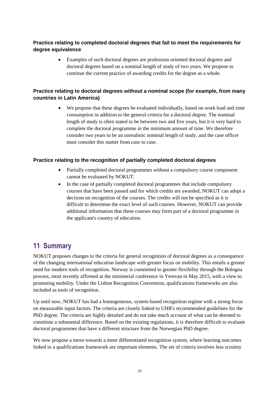#### **Practice relating to completed doctoral degrees that fail to meet the requirements for degree equivalence**

 Examples of such doctoral degrees are profession-oriented doctoral degrees and doctoral degrees based on a nominal length of study of two years. We propose to continue the current practice of awarding credits for the degree as a whole.

#### **Practice relating to doctoral degrees without a nominal scope (for example, from many countries in Latin America)**

 We propose that these degrees be evaluated individually, based on work load and time consumption in addition to the general criteria for a doctoral degree. The nominal length of study is often stated to be between two and five years, but it is very hard to complete the doctoral programme in the minimum amount of time. We therefore consider two years to be an unrealistic nominal length of study, and the case officer must consider this matter from case to case.

#### **Practice relating to the recognition of partially completed doctoral degrees**

- Partially completed doctoral programmes without a compulsory course component cannot be evaluated by NOKUT.
- In the case of partially completed doctoral programmes that include compulsory courses that have been passed and for which credits are awarded, NOKUT can adopt a decision on recognition of the courses. The credits will not be specified as it is difficult to determine the exact level of such courses. However, NOKUT can provide additional information that these courses may form part of a doctoral programme in the applicant's country of education.

### <span id="page-30-0"></span>**11 Summary**

NOKUT proposes changes to the criteria for general recognition of doctoral degrees as a consequence of the changing international education landscape with greater focus on mobility. This entails a greater need for modern tools of recognition. Norway is committed to greater flexibility through the Bologna process, most recently affirmed at the ministerial conference in Yerevan in May 2015, with a view to promoting mobility. Under the Lisbon Recognition Convention, qualifications frameworks are also included as tools of recognition.

Up until now, NOKUT has had a homogeneous, system-based recognition regime with a strong focus on measurable input factors. The criteria are closely linked to UHR's recommended guidelines for the PhD degree. The criteria are highly detailed and do not take much account of what can be deemed to constitute a substantial difference. Based on the existing regulations, it is therefore difficult to evaluate doctoral programmes that have a different structure from the Norwegian PhD degree.

We now propose a move towards a more differentiated recognition system, where learning outcomes linked to a qualifications framework are important elements. The set of criteria involves less scrutiny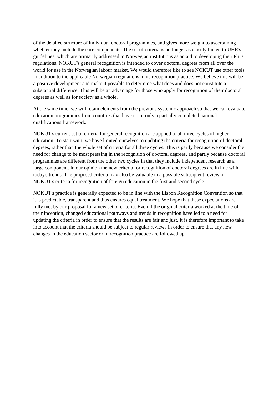of the detailed structure of individual doctoral programmes, and gives more weight to ascertaining whether they include the core components. The set of criteria is no longer as closely linked to UHR's guidelines, which are primarily addressed to Norwegian institutions as an aid to developing their PhD regulations. NOKUT's general recognition is intended to cover doctoral degrees from all over the world for use in the Norwegian labour market. We would therefore like to see NOKUT use other tools in addition to the applicable Norwegian regulations in its recognition practice. We believe this will be a positive development and make it possible to determine what does and does not constitute a substantial difference. This will be an advantage for those who apply for recognition of their doctoral degrees as well as for society as a whole.

At the same time, we will retain elements from the previous systemic approach so that we can evaluate education programmes from countries that have no or only a partially completed national qualifications framework.

NOKUT's current set of criteria for general recognition are applied to all three cycles of higher education. To start with, we have limited ourselves to updating the criteria for recognition of doctoral degrees, rather than the whole set of criteria for all three cycles. This is partly because we consider the need for change to be most pressing in the recognition of doctoral degrees, and partly because doctoral programmes are different from the other two cycles in that they include independent research as a large component. In our opinion the new criteria for recognition of doctoral degrees are in line with today's trends. The proposed criteria may also be valuable in a possible subsequent review of NOKUT's criteria for recognition of foreign education in the first and second cycle.

NOKUT's practice is generally expected to be in line with the Lisbon Recognition Convention so that it is predictable, transparent and thus ensures equal treatment. We hope that these expectations are fully met by our proposal for a new set of criteria. Even if the original criteria worked at the time of their inception, changed educational pathways and trends in recognition have led to a need for updating the criteria in order to ensure that the results are fair and just. It is therefore important to take into account that the criteria should be subject to regular reviews in order to ensure that any new changes in the education sector or in recognition practice are followed up.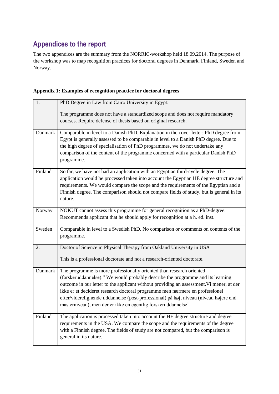# <span id="page-32-0"></span>**Appendices to the report**

The two appendices are the summary from the NORRIC-workshop held 18.09.2014. The purpose of the workshop was to map recognition practices for doctoral degrees in Denmark, Finland, Sweden and Norway.

| Appendix 1: Examples of recognition practice for doctoral degrees |  |  |
|-------------------------------------------------------------------|--|--|
|                                                                   |  |  |

| 1.      | PhD Degree in Law from Cairo University in Egypt:                                                                                                                                                                                                                                                                                                                                                                                                                                              |  |  |  |
|---------|------------------------------------------------------------------------------------------------------------------------------------------------------------------------------------------------------------------------------------------------------------------------------------------------------------------------------------------------------------------------------------------------------------------------------------------------------------------------------------------------|--|--|--|
|         | The programme does not have a standardized scope and does not require mandatory<br>courses. Require defense of thesis based on original research.                                                                                                                                                                                                                                                                                                                                              |  |  |  |
| Danmark | Comparable in level to a Danish PhD. Explanation in the cover letter: PhD degree from<br>Egypt is generally assessed to be comparable in level to a Danish PhD degree. Due to<br>the high degree of specialisation of PhD programmes, we do not undertake any<br>comparison of the content of the programme concerned with a particular Danish PhD<br>programme.                                                                                                                               |  |  |  |
| Finland | So far, we have not had an application with an Egyptian third-cycle degree. The<br>application would be processed taken into account the Egyptian HE degree structure and<br>requirements. We would compare the scope and the requirements of the Egyptian and a<br>Finnish degree. The comparison should not compare fields of study, but is general in its<br>nature.                                                                                                                        |  |  |  |
| Norway  | NOKUT cannot assess this programme for general recognition as a PhD-degree.<br>Recommends applicant that he should apply for recognition at a h. ed. inst.                                                                                                                                                                                                                                                                                                                                     |  |  |  |
| Sweden  | Comparable in level to a Swedish PhD. No comparison or comments on contents of the<br>programme.                                                                                                                                                                                                                                                                                                                                                                                               |  |  |  |
| 2.      | Doctor of Science in Physical Therapy from Oakland University in USA<br>This is a professional doctorate and not a research-oriented doctorate.                                                                                                                                                                                                                                                                                                                                                |  |  |  |
| Danmark | The programme is more professionally oriented than research oriented<br>(forskeruddannelse)." We would probably describe the programme and its learning<br>outcome in our letter to the applicant without providing an assessment. Vi mener, at der<br>ikke er et decideret research doctoral programme men nærmere en professionel<br>efter/viderelignende uddannelse (post-professional) på højt niveau (niveau højere end<br>masterniveau), men der er ikke en egentlig forskeruddannelse". |  |  |  |
| Finland | The application is processed taken into account the HE degree structure and degree<br>requirements in the USA. We compare the scope and the requirements of the degree<br>with a Finnish degree. The fields of study are not compared, but the comparison is<br>general in its nature.                                                                                                                                                                                                         |  |  |  |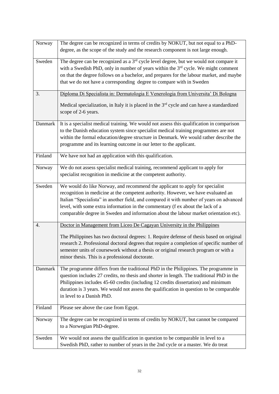| Norway  | The degree can be recognized in terms of credits by NOKUT, but not equal to a PhD-                |
|---------|---------------------------------------------------------------------------------------------------|
|         | degree, as the scope of the study and the research component is not large enough.                 |
| Sweden  | The degree can be recognized as a 3 <sup>rd</sup> cycle level degree, but we would not compare it |
|         | with a Swedish PhD, only in number of years within the 3 <sup>rd</sup> cycle. We might comment    |
|         | on that the degree follows on a bachelor, and prepares for the labour market, and maybe           |
|         | that we do not have a corresponding degree to compare with in Sweden                              |
|         |                                                                                                   |
| 3.      | Diploma Di Specialista in: Dermatologia E Venerologia from Universita' Di Bologna                 |
|         | Medical specialization, in Italy it is placed in the $3rd$ cycle and can have a standardized      |
|         | scope of 2-6 years.                                                                               |
|         |                                                                                                   |
| Danmark | It is a specialist medical training. We would not assess this qualification in comparison         |
|         | to the Danish education system since specialist medical training programmes are not               |
|         | within the formal education/degree structure in Denmark. We would rather describe the             |
|         | programme and its learning outcome in our letter to the applicant.                                |
| Finland | We have not had an application with this qualification.                                           |
|         |                                                                                                   |
| Norway  | We do not assess specialist medical training, recommend applicant to apply for                    |
|         | specialist recognition in medicine at the competent authority.                                    |
| Sweden  | We would do like Norway, and recommend the applicant to apply for specialist                      |
|         | recognition in medicine at the competent authority. However, we have evaluated an                 |
|         | Italian "Specialista" in another field, and compared it with number of years on advanced          |
|         | level, with some extra information in the commentary (f ex about the lack of a                    |
|         | comparable degree in Sweden and information about the labour market orientation etc).             |
|         |                                                                                                   |
| 4.      | Doctor in Management from Liceo De Cagayan University in the Philippines                          |
|         | The Philippines has two doctoral degrees: 1. Require defense of thesis based on original          |
|         | research 2. Professional doctoral degrees that require a completion of specific number of         |
|         | semester units of coursework without a thesis or original research program or with a              |
|         | minor thesis. This is a professional doctorate.                                                   |
|         |                                                                                                   |
| Danmark | The programme differs from the traditional PhD in the Philippines. The programme in               |
|         | question includes 27 credits, no thesis and shorter in length. The traditional PhD in the         |
|         | Philippines includes 45-60 credits (including 12 credits dissertation) and minimum                |
|         | duration is 3 years. We would not assess the qualification in question to be comparable           |
|         | in level to a Danish PhD.                                                                         |
|         |                                                                                                   |
| Finland | Please see above the case from Egypt.                                                             |
| Norway  | The degree can be recognized in terms of credits by NOKUT, but cannot be compared                 |
|         | to a Norwegian PhD-degree.                                                                        |
| Sweden  | We would not assess the qualification in question to be comparable in level to a                  |
|         | Swedish PhD, rather to number of years in the 2nd cycle or a master. We do treat                  |
|         |                                                                                                   |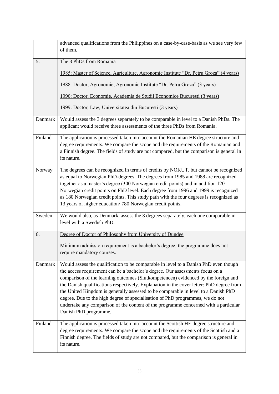|         | advanced qualifications from the Philippines on a case-by-case-basis as we see very few<br>of them.                                                                                                                                                                                                                                                                                                                                                                                                                                                                                                                                             |
|---------|-------------------------------------------------------------------------------------------------------------------------------------------------------------------------------------------------------------------------------------------------------------------------------------------------------------------------------------------------------------------------------------------------------------------------------------------------------------------------------------------------------------------------------------------------------------------------------------------------------------------------------------------------|
| 5.      | The 3 PhDs from Romania                                                                                                                                                                                                                                                                                                                                                                                                                                                                                                                                                                                                                         |
|         | 1985: Master of Science, Agriculture, Agronomic Institute "Dr. Petru Groza" (4 years)                                                                                                                                                                                                                                                                                                                                                                                                                                                                                                                                                           |
|         | <u> 1988: Doctor, Agronomie, Agronomic Institute "Dr. Petru Groza" (3 years)</u>                                                                                                                                                                                                                                                                                                                                                                                                                                                                                                                                                                |
|         | 1996: Doctor, Economie, Academia de Studii Economice Bucuresti (3 years)                                                                                                                                                                                                                                                                                                                                                                                                                                                                                                                                                                        |
|         | 1999: Doctor, Law, Universitatea din Bucuresti (3 years)                                                                                                                                                                                                                                                                                                                                                                                                                                                                                                                                                                                        |
| Danmark | Would assess the 3 degrees separately to be comparable in level to a Danish PhDs. The<br>applicant would receive three assessments of the three PhDs from Romania.                                                                                                                                                                                                                                                                                                                                                                                                                                                                              |
| Finland | The application is processed taken into account the Romanian HE degree structure and<br>degree requirements. We compare the scope and the requirements of the Romanian and<br>a Finnish degree. The fields of study are not compared, but the comparison is general in<br>its nature.                                                                                                                                                                                                                                                                                                                                                           |
| Norway  | The degrees can be recognized in terms of credits by NOKUT, but cannot be recognized<br>as equal to Norwegian PhD-degrees. The degrees from 1985 and 1988 are recognized<br>together as a master's degree (300 Norwegian credit points) and in addition 120<br>Norwegian credit points on PhD level. Each degree from 1996 and 1999 is recognized<br>as 180 Norwegian credit points. This study path with the four degrees is recognized as<br>13 years of higher education/780 Norwegian credit points.                                                                                                                                        |
| Sweden  | We would also, as Denmark, assess the 3 degrees separately, each one comparable in<br>level with a Swedish PhD.                                                                                                                                                                                                                                                                                                                                                                                                                                                                                                                                 |
| 6.      | Degree of Doctor of Philosophy from University of Dundee                                                                                                                                                                                                                                                                                                                                                                                                                                                                                                                                                                                        |
|         | Minimum admission requirement is a bachelor's degree; the programme does not<br>require mandatory courses.                                                                                                                                                                                                                                                                                                                                                                                                                                                                                                                                      |
| Danmark | Would assess the qualification to be comparable in level to a Danish PhD even though<br>the access requirement can be a bachelor's degree. Our assessments focus on a<br>comparison of the learning outcomes (Slutkompetencen) evidenced by the foreign and<br>the Danish qualifications respectively. Explanation in the cover letter: PhD degree from<br>the United Kingdom is generally assessed to be comparable in level to a Danish PhD<br>degree. Due to the high degree of specialisation of PhD programmes, we do not<br>undertake any comparison of the content of the programme concerned with a particular<br>Danish PhD programme. |
| Finland | The application is processed taken into account the Scottish HE degree structure and<br>degree requirements. We compare the scope and the requirements of the Scottish and a<br>Finnish degree. The fields of study are not compared, but the comparison is general in<br>its nature.                                                                                                                                                                                                                                                                                                                                                           |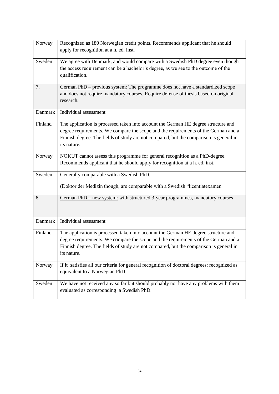| Norway  | Recognized as 180 Norwegian credit points. Recommends applicant that he should<br>apply for recognition at a h. ed. inst.                                                                                                                                                         |
|---------|-----------------------------------------------------------------------------------------------------------------------------------------------------------------------------------------------------------------------------------------------------------------------------------|
| Sweden  | We agree with Denmark, and would compare with a Swedish PhD degree even though<br>the access requirement can be a bachelor's degree, as we see to the outcome of the<br>qualification.                                                                                            |
| 7.      | German PhD - previous system: The programme does not have a standardized scope<br>and does not require mandatory courses. Require defense of thesis based on original<br>research.                                                                                                |
| Danmark | Individual assessment                                                                                                                                                                                                                                                             |
| Finland | The application is processed taken into account the German HE degree structure and<br>degree requirements. We compare the scope and the requirements of the German and a<br>Finnish degree. The fields of study are not compared, but the comparison is general in<br>its nature. |
| Norway  | NOKUT cannot assess this programme for general recognition as a PhD-degree.<br>Recommends applicant that he should apply for recognition at a h. ed. inst.                                                                                                                        |
| Sweden  | Generally comparable with a Swedish PhD.<br>(Doktor der Medizin though, are comparable with a Swedish "licentiatexamen                                                                                                                                                            |
| 8       | German PhD – new system: with structured 3-year programmes, mandatory courses                                                                                                                                                                                                     |
| Danmark | Individual assessment                                                                                                                                                                                                                                                             |
| Finland | The application is processed taken into account the German HE degree structure and<br>degree requirements. We compare the scope and the requirements of the German and a<br>Finnish degree. The fields of study are not compared, but the comparison is general in<br>its nature. |
| Norway  | If it satisfies all our criteria for general recognition of doctoral degrees: recognized as<br>equivalent to a Norwegian PhD.                                                                                                                                                     |
| Sweden  | We have not received any so far but should probably not have any problems with them<br>evaluated as corresponding a Swedish PhD.                                                                                                                                                  |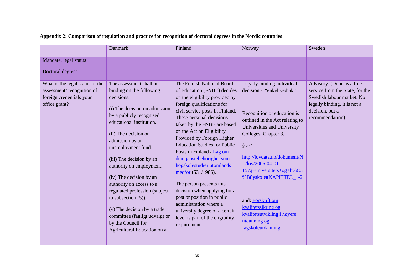|                                                                                                           | Danmark                                                                                                                                                                                                                                                                                                                                                                                                                                                                                                                    | Finland                                                                                                                                                                                                                                                                                                                                                                                                                                                                                                                                                                                                                                          | Norway                                                                                                                                                                                                                                                                                                                                                                                                                         | Sweden                                                                                                                                                           |
|-----------------------------------------------------------------------------------------------------------|----------------------------------------------------------------------------------------------------------------------------------------------------------------------------------------------------------------------------------------------------------------------------------------------------------------------------------------------------------------------------------------------------------------------------------------------------------------------------------------------------------------------------|--------------------------------------------------------------------------------------------------------------------------------------------------------------------------------------------------------------------------------------------------------------------------------------------------------------------------------------------------------------------------------------------------------------------------------------------------------------------------------------------------------------------------------------------------------------------------------------------------------------------------------------------------|--------------------------------------------------------------------------------------------------------------------------------------------------------------------------------------------------------------------------------------------------------------------------------------------------------------------------------------------------------------------------------------------------------------------------------|------------------------------------------------------------------------------------------------------------------------------------------------------------------|
| Mandate, legal status                                                                                     |                                                                                                                                                                                                                                                                                                                                                                                                                                                                                                                            |                                                                                                                                                                                                                                                                                                                                                                                                                                                                                                                                                                                                                                                  |                                                                                                                                                                                                                                                                                                                                                                                                                                |                                                                                                                                                                  |
| Doctoral degrees                                                                                          |                                                                                                                                                                                                                                                                                                                                                                                                                                                                                                                            |                                                                                                                                                                                                                                                                                                                                                                                                                                                                                                                                                                                                                                                  |                                                                                                                                                                                                                                                                                                                                                                                                                                |                                                                                                                                                                  |
| What is the legal status of the<br>assessment/recognition of<br>foreign credentials your<br>office grant? | The assessment shall be<br>binding on the following<br>decisions:<br>(i) The decision on admission<br>by a publicly recognised<br>educational institution.<br>(ii) The decision on<br>admission by an<br>unemployment fund.<br>(iii) The decision by an<br>authority on employment.<br>(iv) The decision by an<br>authority on access to a<br>regulated profession (subject<br>to subsection $(5)$ ).<br>(v) The decision by a trade<br>committee (fagligt udvalg) or<br>by the Council for<br>Agricultural Education on a | The Finnish National Board<br>of Education (FNBE) decides<br>on the eligibility provided by<br>foreign qualifications for<br>civil service posts in Finland.<br>These personal decisions<br>taken by the FNBE are based<br>on the Act on Eligibility<br>Provided by Foreign Higher<br><b>Education Studies for Public</b><br>Posts in Finland / Lag om<br>den tjänstebehörighet som<br>högskolestudier utomlands<br>medför (531/1986).<br>The person presents this<br>decision when applying for a<br>post or position in public<br>administration where a<br>university degree of a certain<br>level is part of the eligibility<br>requirement. | Legally binding individual<br>decision - "enkeltvedtak"<br>Recognition of education is<br>outlined in the Act relating to<br>Universities and University<br>Colleges, Chapter 3,<br>$§ 3-4$<br>http://lovdata.no/dokument/N<br>$L/lov/2005 - 04 - 01 -$<br>15?q=universitets+og+h%C3<br>%B8yskole#KAPITTEL_1-2<br>and: Forskrift om<br>kvalitetssikring og<br>kvalitetsutvikling i høyere<br>utdanning og<br>fagskoleutdanning | Advisory. (Done as a free<br>service from the State, for the<br>Swedish labour market. No<br>legally binding, it is not a<br>decision, but a<br>recommendation). |

#### **Appendix 2: Comparison of regulation and practice for recognition of doctoral degrees in the Nordic countries**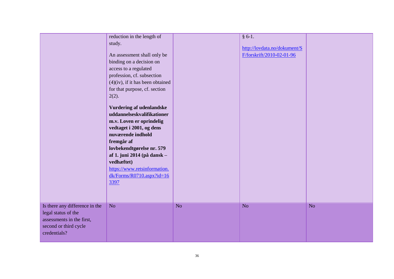|                                                                                                                             | reduction in the length of<br>study.<br>An assessment shall only be<br>binding on a decision on<br>access to a regulated<br>profession, cf. subsection<br>$(4)(iv)$ , if it has been obtained<br>for that purpose, cf. section<br>2(2).<br><b>Vurdering af udenlandske</b><br>uddannelseskvalifikationer<br>m.v. Loven er oprindelig<br>vedtaget i 2001, og dens<br>nuværende indhold<br>fremgår af<br>lovbekendtgørelse nr. 579<br>af 1. juni 2014 (på dansk -<br>vedhæftet)<br>https://www.retsinformation.<br>$dk/Forms/R0710.$ aspx?id=16<br>3397 |    | $§ 6-1.$<br>http://lovdata.no/dokument/S<br>F/forskrift/2010-02-01-96 |    |
|-----------------------------------------------------------------------------------------------------------------------------|-------------------------------------------------------------------------------------------------------------------------------------------------------------------------------------------------------------------------------------------------------------------------------------------------------------------------------------------------------------------------------------------------------------------------------------------------------------------------------------------------------------------------------------------------------|----|-----------------------------------------------------------------------|----|
| Is there any difference in the<br>legal status of the<br>assessments in the first,<br>second or third cycle<br>credentials? | No                                                                                                                                                                                                                                                                                                                                                                                                                                                                                                                                                    | No | No                                                                    | No |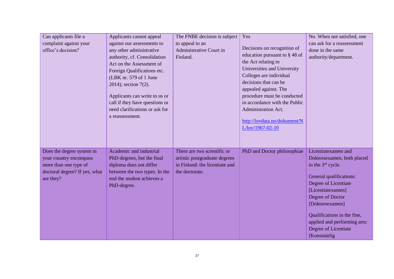| Can applicants file a<br>complaint against your<br>office's decision?                                                      | Applicants cannot appeal<br>against our assessments to<br>any other administrative<br>authority, cf. Consolidation<br>Act on the Assessment of<br>Foreign Qualifications etc.<br>(LBK nr. 579 of 1 June<br>2014), section 7(2).<br>Applicants can write to us or<br>call if they have questions or<br>need clarifications or ask for<br>a reassessment. | The FNBE decision is subject<br>to appeal to an<br>Administrative Court in<br>Finland.                           | Yes<br>Decisions on recognition of<br>education pursuant to §48 of<br>the Act relating to<br>Universities and University<br>Colleges are individual<br>decisions that can be<br>appealed against. The<br>procedure must be conducted<br>in accordance with the Public<br>Administration Act.<br>http://lovdata.no/dokument/N<br>L/lov/1967-02-10 | No. When not satisfied, one<br>can ask for a reassessment<br>done in the same<br>authority/department.                                                                                                                                                                                         |
|----------------------------------------------------------------------------------------------------------------------------|---------------------------------------------------------------------------------------------------------------------------------------------------------------------------------------------------------------------------------------------------------------------------------------------------------------------------------------------------------|------------------------------------------------------------------------------------------------------------------|--------------------------------------------------------------------------------------------------------------------------------------------------------------------------------------------------------------------------------------------------------------------------------------------------------------------------------------------------|------------------------------------------------------------------------------------------------------------------------------------------------------------------------------------------------------------------------------------------------------------------------------------------------|
| Does the degree system in<br>your country encompass<br>more than one type of<br>doctoral degree? If yes, what<br>are they? | Academic and industrial<br>PhD-degrees, but the final<br>diploma does not differ<br>between the two types. In the<br>end the student achieves a<br>PhD-degree.                                                                                                                                                                                          | There are two scientific or<br>artistic postgraduate degrees<br>in Finland: the licentiate and<br>the doctorate. | PhD and Doctor philosophiae                                                                                                                                                                                                                                                                                                                      | Licentiatexamen and<br>Doktorsexamen, both placed<br>in the $3rd$ cycle.<br>General qualifications:<br>Degree of Licentiate<br>[Licentiatexamen]<br>Degree of Doctor<br>[Doktorsexamen]<br>Qualifications in the fine,<br>applied and performing arts:<br>Degree of Licentiate<br>[Konstnärlig |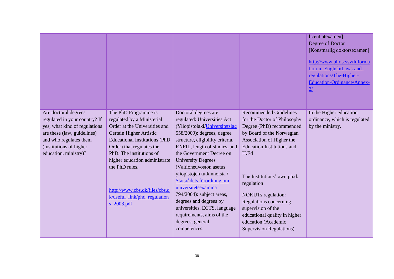|                                                                                                                                                                                                     |                                                                                                                                                                                                                                                                    |                                                                                                                                                                                                                                                                                                             |                                                                                                                                                                                                                                 | licentiatexamen]<br>Degree of Doctor<br>[Konstnärlig doktorsexamen]<br>http://www.uhr.se/sv/Informa<br>tion-in-English/Laws-and-<br>regulations/The-Higher-<br><b>Education-Ordinance/Annex-</b><br>2/ |
|-----------------------------------------------------------------------------------------------------------------------------------------------------------------------------------------------------|--------------------------------------------------------------------------------------------------------------------------------------------------------------------------------------------------------------------------------------------------------------------|-------------------------------------------------------------------------------------------------------------------------------------------------------------------------------------------------------------------------------------------------------------------------------------------------------------|---------------------------------------------------------------------------------------------------------------------------------------------------------------------------------------------------------------------------------|--------------------------------------------------------------------------------------------------------------------------------------------------------------------------------------------------------|
| Are doctoral degrees<br>regulated in your country? If<br>yes, what kind of regulations<br>are these (law, guidelines)<br>and who regulates them<br>(institutions of higher<br>education, ministry)? | The PhD Programme is<br>regulated by a Ministerial<br>Order at the Universities and<br>Certain Higher Artistic<br><b>Educational Institutions (PhD</b><br>Order) that regulates the<br>PhD. The institutions of<br>higher education administrate<br>the PhD rules. | Doctoral degrees are<br>regulated: Universities Act<br>(Yliopistolaki/Universitetslag<br>558/2009): degrees, degree<br>structure, eligibility criteria,<br>RNFIL, length of studies, and<br>the Government Decree on<br><b>University Degrees</b><br>(Valtioneuvoston asetus<br>yliopistojen tutkinnoista / | <b>Recommended Guidelines</b><br>for the Doctor of Philosophy<br>Degree (PhD) recommended<br>by Board of the Norwegian<br>Association of Higher the<br><b>Education Institutions and</b><br>H.Ed<br>The Institutions' own ph.d. | In the Higher education<br>ordinance, which is regulated<br>by the ministry.                                                                                                                           |
|                                                                                                                                                                                                     | http://www.cbs.dk/files/cbs.d<br>k/useful_link/phd_regulation<br>s 2008.pdf                                                                                                                                                                                        | Statsrådets förordning om<br>universitetsexamina<br>794/2004): subject areas,<br>degrees and degrees by<br>universities, ECTS, language<br>requirements, aims of the<br>degrees, general<br>competences.                                                                                                    | regulation<br><b>NOKUTs</b> regulation:<br>Regulations concerning<br>supervision of the<br>educational quality in higher<br>education (Academic<br><b>Supervision Regulations)</b>                                              |                                                                                                                                                                                                        |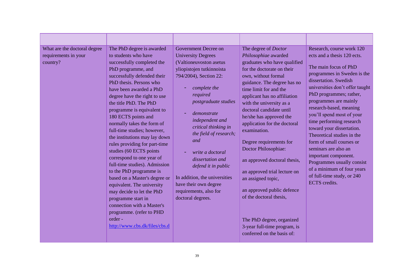| What are the doctoral degree<br>requirements in your<br>country?<br>order- | The PhD degree is awarded<br>to students who have<br>successfully completed the<br>PhD programme, and<br>successfully defended their<br>PhD thesis. Persons who<br>have been awarded a PhD<br>degree have the right to use<br>the title PhD. The PhD<br>programme is equivalent to<br>180 ECTS points and<br>normally takes the form of<br>full-time studies; however,<br>the institutions may lay down<br>rules providing for part-time<br>studies (60 ECTS points<br>correspond to one year of<br>full-time studies). Admission<br>to the PhD programme is<br>based on a Master's degree or<br>equivalent. The university<br>may decide to let the PhD<br>programme start in<br>connection with a Master's<br>programme. (refer to PHD<br>http://www.cbs.dk/files/cbs.d | Government Decree on<br><b>University Degrees</b><br>(Valtioneuvoston asetus<br>yliopistojen tutkinnoista<br>794/2004), Section 22:<br>complete the<br>required<br>postgraduate studies<br>demonstrate<br>independent and<br>critical thinking in<br>the field of research;<br>and<br>write a doctoral<br>dissertation and<br>defend it in public<br>In addition, the universities<br>have their own degree<br>requirements, also for<br>doctoral degrees. | The degree of <i>Doctor</i><br>Philosophiae awarded<br>graduates who have qualified<br>for the doctorate on their<br>own, without formal<br>guidance. The degree has no<br>time limit for and the<br>applicant has no affiliation<br>with the university as a<br>doctoral candidate until<br>he/she has approved the<br>application for the doctoral<br>examination.<br>Degree requirements for<br>Doctor Philosophiae:<br>an approved doctoral thesis,<br>an approved trial lecture on<br>an assigned topic,<br>an approved public defence<br>of the doctoral thesis,<br>The PhD degree, organized<br>3-year full-time program, is<br>conferred on the basis of: | Research, course work 120<br>ects and a thesis 120 ects.<br>The main focus of PhD<br>programmes in Sweden is the<br>dissertation. Swedish<br>universities don't offer taught<br>PhD programmes; rather,<br>programmes are mainly<br>research-based, meaning<br>you'll spend most of your<br>time performing research<br>toward your dissertation.<br>Theoretical studies in the<br>form of small courses or<br>seminars are also an<br>important component.<br>Programmes usually consist<br>of a minimum of four years<br>of full-time study, or 240<br><b>ECTS</b> credits. |
|----------------------------------------------------------------------------|---------------------------------------------------------------------------------------------------------------------------------------------------------------------------------------------------------------------------------------------------------------------------------------------------------------------------------------------------------------------------------------------------------------------------------------------------------------------------------------------------------------------------------------------------------------------------------------------------------------------------------------------------------------------------------------------------------------------------------------------------------------------------|------------------------------------------------------------------------------------------------------------------------------------------------------------------------------------------------------------------------------------------------------------------------------------------------------------------------------------------------------------------------------------------------------------------------------------------------------------|-------------------------------------------------------------------------------------------------------------------------------------------------------------------------------------------------------------------------------------------------------------------------------------------------------------------------------------------------------------------------------------------------------------------------------------------------------------------------------------------------------------------------------------------------------------------------------------------------------------------------------------------------------------------|-------------------------------------------------------------------------------------------------------------------------------------------------------------------------------------------------------------------------------------------------------------------------------------------------------------------------------------------------------------------------------------------------------------------------------------------------------------------------------------------------------------------------------------------------------------------------------|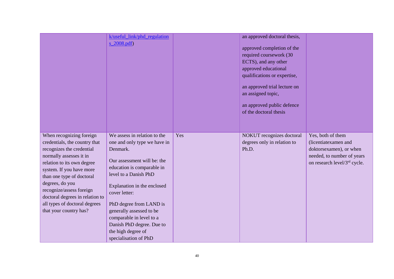|                                                                                                                                                                                                                                                                                                                                                       | k/useful_link/phd_regulation<br>$s_2008.pdf$                                                                                                                                                                                                                                                                                                                                  |     | an approved doctoral thesis,<br>approved completion of the<br>required coursework (30<br>ECTS), and any other<br>approved educational<br>qualifications or expertise,<br>an approved trial lecture on<br>an assigned topic,<br>an approved public defence<br>of the doctoral thesis |                                                                                                                                                |
|-------------------------------------------------------------------------------------------------------------------------------------------------------------------------------------------------------------------------------------------------------------------------------------------------------------------------------------------------------|-------------------------------------------------------------------------------------------------------------------------------------------------------------------------------------------------------------------------------------------------------------------------------------------------------------------------------------------------------------------------------|-----|-------------------------------------------------------------------------------------------------------------------------------------------------------------------------------------------------------------------------------------------------------------------------------------|------------------------------------------------------------------------------------------------------------------------------------------------|
| When recognizing foreign<br>credentials, the country that<br>recognizes the credential<br>normally assesses it in<br>relation to its own degree<br>system. If you have more<br>than one type of doctoral<br>degrees, do you<br>recognize/assess foreign<br>doctoral degrees in relation to<br>all types of doctoral degrees<br>that your country has? | We assess in relation to the<br>one and only type we have in<br>Denmark.<br>Our assessment will be: the<br>education is comparable in<br>level to a Danish PhD<br>Explanation in the enclosed<br>cover letter:<br>PhD degree from LAND is<br>generally assessed to be<br>comparable in level to a<br>Danish PhD degree. Due to<br>the high degree of<br>specialisation of PhD | Yes | NOKUT recognizes doctoral<br>degrees only in relation to<br>Ph.D.                                                                                                                                                                                                                   | Yes, both of them<br>(licentiatexamen and<br>doktorsexamen), or when<br>needed, to number of years<br>on research level/3 <sup>rd</sup> cycle. |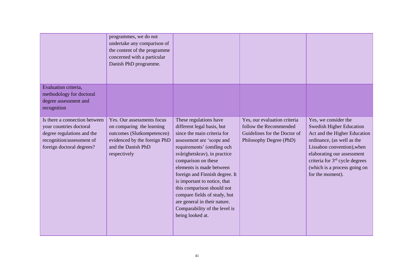|                                                                                                                                                  | programmes, we do not<br>undertake any comparison of<br>the content of the programme<br>concerned with a particular<br>Danish PhD programme.                |                                                                                                                                                                                                                                                                                                                                                                                                                                                       |                                                                                                                   |                                                                                                                                                                                                                                                                                     |
|--------------------------------------------------------------------------------------------------------------------------------------------------|-------------------------------------------------------------------------------------------------------------------------------------------------------------|-------------------------------------------------------------------------------------------------------------------------------------------------------------------------------------------------------------------------------------------------------------------------------------------------------------------------------------------------------------------------------------------------------------------------------------------------------|-------------------------------------------------------------------------------------------------------------------|-------------------------------------------------------------------------------------------------------------------------------------------------------------------------------------------------------------------------------------------------------------------------------------|
| Evaluation criteria,<br>methodology for doctoral<br>degree assessment and<br>recognition                                                         |                                                                                                                                                             |                                                                                                                                                                                                                                                                                                                                                                                                                                                       |                                                                                                                   |                                                                                                                                                                                                                                                                                     |
| Is there a connection between<br>your countries doctoral<br>degree regulations and the<br>recognition/assessment of<br>foreign doctoral degrees? | Yes. Our assessments focus<br>on comparing the learning<br>outcomes (Slutkompetencen)<br>evidenced by the foreign PhD<br>and the Danish PhD<br>respectively | These regulations have<br>different legal basis, but<br>since the main criteria for<br>assessment are 'scope and<br>requirements' (omfång och<br>svårighetskrav), in practice<br>comparison on these<br>elements is made between<br>foreign and Finnish degree. It<br>is important to notice, that<br>this comparison should not<br>compare fields of study, but<br>are general in their nature.<br>Comparability of the level is<br>being looked at. | Yes, our evaluation criteria<br>follow the Recommended<br>Guidelines for the Doctor of<br>Philosophy Degree (PhD) | Yes, we consider the<br><b>Swedish Higher Education</b><br>Act and the Higher Education<br>ordinance, (as well as the<br>Lissabon convention), when<br>elaborating our assessment<br>criteria for 3 <sup>rd</sup> cycle degrees<br>(which is a process going on<br>for the moment). |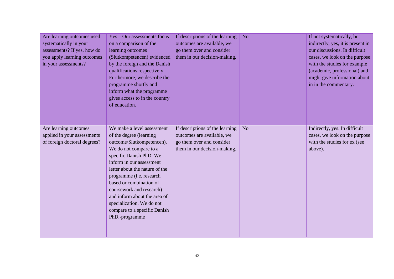| Are learning outcomes used<br>systematically in your<br>assessments? If yes, how do<br>you apply learning outcomes<br>in your assessments? | Yes - Our assessments focus<br>on a comparison of the<br>learning outcomes<br>(Slutkompetencen) evidenced<br>by the foreign and the Danish<br>qualifications respectively.<br>Furthermore, we describe the<br>programme shortly and<br>inform what the programme<br>gives access to in the country<br>of education.                                                                                     | If descriptions of the learning<br>outcomes are available, we<br>go them over and consider<br>them in our decision-making. | N <sub>o</sub> | If not systematically, but<br>indirectly, yes, it is present in<br>our discussions. In difficult<br>cases, we look on the purpose<br>with the studies for example<br>(academic, professional) and<br>might give information about<br>in in the commentary. |
|--------------------------------------------------------------------------------------------------------------------------------------------|---------------------------------------------------------------------------------------------------------------------------------------------------------------------------------------------------------------------------------------------------------------------------------------------------------------------------------------------------------------------------------------------------------|----------------------------------------------------------------------------------------------------------------------------|----------------|------------------------------------------------------------------------------------------------------------------------------------------------------------------------------------------------------------------------------------------------------------|
| Are learning outcomes<br>applied in your assessments<br>of foreign doctoral degrees?                                                       | We make a level assessment<br>of the degree (learning<br>outcome/Slutkompetencen).<br>We do not compare to a<br>specific Danish PhD. We<br>inform in our assessment<br>letter about the nature of the<br>programme (i.e. research<br>based or combination of<br>coursework and research)<br>and inform about the area of<br>specialization. We do not<br>compare to a specific Danish<br>PhD.-programme | If descriptions of the learning<br>outcomes are available, we<br>go them over and consider<br>them in our decision-making. | N <sub>o</sub> | Indirectly, yes. In difficult<br>cases, we look on the purpose<br>with the studies for ex (see<br>above).                                                                                                                                                  |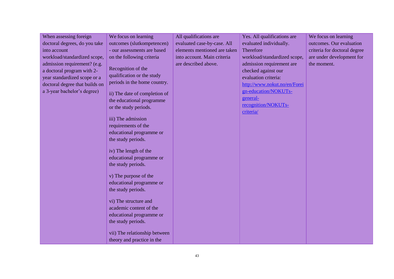| When assessing foreign         | We focus on learning                               | All qualifications are       | Yes. All qualifications are  | We focus on learning         |
|--------------------------------|----------------------------------------------------|------------------------------|------------------------------|------------------------------|
| doctoral degrees, do you take  | outcomes (slutkompetencen)                         | evaluated case-by-case. All  | evaluated individually.      | outcomes. Our evaluation     |
| into account                   | - our assessments are based                        | elements mentioned are taken | Therefore                    | criteria for doctoral degree |
| workload/standardized scope,   | on the following criteria                          | into account. Main criteria  | workload/standardized scope, | are under development for    |
| admission requirement? (e.g.   |                                                    | are described above.         | admission requirement are    | the moment.                  |
| a doctoral program with 2-     | Recognition of the                                 |                              | checked against our          |                              |
| year standardized scope or a   | qualification or the study                         |                              | evaluation criteria:         |                              |
| doctoral degree that builds on | periods in the home country.                       |                              | http://www.nokut.no/en/Forei |                              |
| a 3-year bachelor's degree)    |                                                    |                              | gn-education/NOKUTs-         |                              |
|                                | ii) The date of completion of                      |                              | general-                     |                              |
|                                | the educational programme<br>or the study periods. |                              | recognition/NOKUTs-          |                              |
|                                |                                                    |                              | criteria/                    |                              |
|                                | iii) The admission                                 |                              |                              |                              |
|                                | requirements of the                                |                              |                              |                              |
|                                | educational programme or                           |                              |                              |                              |
|                                | the study periods.                                 |                              |                              |                              |
|                                |                                                    |                              |                              |                              |
|                                | iv) The length of the                              |                              |                              |                              |
|                                | educational programme or                           |                              |                              |                              |
|                                | the study periods.                                 |                              |                              |                              |
|                                |                                                    |                              |                              |                              |
|                                | v) The purpose of the                              |                              |                              |                              |
|                                | educational programme or                           |                              |                              |                              |
|                                | the study periods.                                 |                              |                              |                              |
|                                | vi) The structure and                              |                              |                              |                              |
|                                | academic content of the                            |                              |                              |                              |
|                                | educational programme or                           |                              |                              |                              |
|                                | the study periods.                                 |                              |                              |                              |
|                                |                                                    |                              |                              |                              |
|                                | vii) The relationship between                      |                              |                              |                              |
|                                | theory and practice in the                         |                              |                              |                              |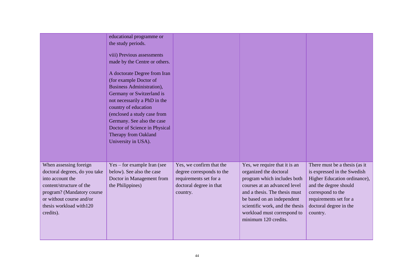|                                                                                                                                                                                                           | educational programme or<br>the study periods.<br>viii) Previous assessments<br>made by the Centre or others.<br>A doctorate Degree from Iran<br>(for example Doctor of<br><b>Business Administration),</b><br>Germany or Switzerland is<br>not necessarily a PhD in the<br>country of education<br>(enclosed a study case from<br>Germany. See also the case<br>Doctor of Science in Physical<br>Therapy from Oakland<br>University in USA). |                                                                                                                        |                                                                                                                                                                                                                                                                                 |                                                                                                                                                                                                            |
|-----------------------------------------------------------------------------------------------------------------------------------------------------------------------------------------------------------|-----------------------------------------------------------------------------------------------------------------------------------------------------------------------------------------------------------------------------------------------------------------------------------------------------------------------------------------------------------------------------------------------------------------------------------------------|------------------------------------------------------------------------------------------------------------------------|---------------------------------------------------------------------------------------------------------------------------------------------------------------------------------------------------------------------------------------------------------------------------------|------------------------------------------------------------------------------------------------------------------------------------------------------------------------------------------------------------|
| When assessing foreign<br>doctoral degrees, do you take<br>into account the<br>content/structure of the<br>program? (Mandatory course<br>or without course and/or<br>thesis workload with120<br>credits). | $Yes - for example Iran (see$<br>below). See also the case<br>Doctor in Management from<br>the Philippines)                                                                                                                                                                                                                                                                                                                                   | Yes, we confirm that the<br>degree corresponds to the<br>requirements set for a<br>doctoral degree in that<br>country. | Yes, we require that it is an<br>organized the doctoral<br>program which includes both<br>courses at an advanced level<br>and a thesis. The thesis must<br>be based on an independent<br>scientific work, and the thesis<br>workload must correspond to<br>minimum 120 credits. | There must be a thesis (as it<br>is expressed in the Swedish<br>Higher Education ordinance),<br>and the degree should<br>correspond to the<br>requirements set for a<br>doctoral degree in the<br>country. |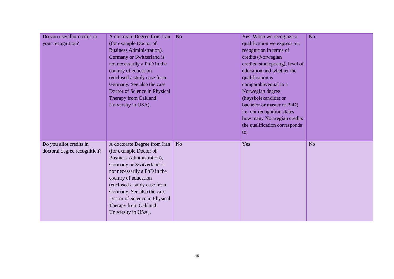| Do you use/allot credits in<br>your recognition?        | A doctorate Degree from Iran<br>(for example Doctor of<br><b>Business Administration),</b><br>Germany or Switzerland is<br>not necessarily a PhD in the<br>country of education<br>(enclosed a study case from<br>Germany. See also the case<br>Doctor of Science in Physical<br>Therapy from Oakland<br>University in USA). | N <sub>o</sub> | Yes. When we recognize a<br>qualification we express our<br>recognition in terms of<br>credits (Norwegian<br>credits=studiepoeng), level of<br>education and whether the<br>qualification is<br>comparable/equal to a<br>Norwegian degree<br>(høyskolekandidat or<br>bachelor or master or PhD)<br>i.e. our recognition states<br>how many Norwegian credits<br>the qualification corresponds<br>to. | No.            |
|---------------------------------------------------------|------------------------------------------------------------------------------------------------------------------------------------------------------------------------------------------------------------------------------------------------------------------------------------------------------------------------------|----------------|------------------------------------------------------------------------------------------------------------------------------------------------------------------------------------------------------------------------------------------------------------------------------------------------------------------------------------------------------------------------------------------------------|----------------|
| Do you allot credits in<br>doctoral degree recognition? | A doctorate Degree from Iran<br>(for example Doctor of<br>Business Administration),<br>Germany or Switzerland is<br>not necessarily a PhD in the<br>country of education<br>(enclosed a study case from<br>Germany. See also the case<br>Doctor of Science in Physical<br>Therapy from Oakland<br>University in USA).        | N <sub>o</sub> | Yes                                                                                                                                                                                                                                                                                                                                                                                                  | N <sub>o</sub> |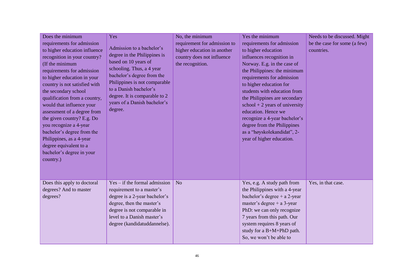| Does the minimum<br>requirements for admission<br>to higher education influence<br>recognition in your country?<br>(If the minimum<br>requirements for admission<br>to higher education in your<br>country is not satisfied with<br>the secondary school<br>qualification from a country,<br>would that influence your<br>assessment of a degree from<br>the given country? E.g. Do<br>you recognize a 4-year<br>bachelor's degree from the<br>Philippines, as a 4-year<br>degree equivalent to a<br>bachelor's degree in your<br>country.) | Yes<br>Admission to a bachelor's<br>degree in the Philippines is<br>based on 10 years of<br>schooling. Thus, a 4 year<br>bachelor's degree from the<br>Philippines is not comparable<br>to a Danish bachelor's<br>degree. It is comparable to 2<br>years of a Danish bachelor's<br>degree. | No, the minimum<br>requirement for admission to<br>higher education in another<br>country does not influence<br>the recognition. | Yes the minimum<br>requirements for admission<br>to higher education<br>influences recognition in<br>Norway. E.g. in the case of<br>the Philippines: the minimum<br>requirements for admission<br>to higher education for<br>students with education from<br>the Philippines are secondary<br>$school + 2 years of university$<br>education. Hence we<br>recognize a 4-year bachelor's<br>degree from the Philippines<br>as a "høyskolekandidat", 2-<br>year of higher education. | Needs to be discussed. Might<br>be the case for some (a few)<br>countries. |
|---------------------------------------------------------------------------------------------------------------------------------------------------------------------------------------------------------------------------------------------------------------------------------------------------------------------------------------------------------------------------------------------------------------------------------------------------------------------------------------------------------------------------------------------|--------------------------------------------------------------------------------------------------------------------------------------------------------------------------------------------------------------------------------------------------------------------------------------------|----------------------------------------------------------------------------------------------------------------------------------|-----------------------------------------------------------------------------------------------------------------------------------------------------------------------------------------------------------------------------------------------------------------------------------------------------------------------------------------------------------------------------------------------------------------------------------------------------------------------------------|----------------------------------------------------------------------------|
| Does this apply to doctoral<br>degrees? And to master<br>degrees?                                                                                                                                                                                                                                                                                                                                                                                                                                                                           | $Yes - if the formal admission$<br>requirement to a master's<br>degree is a 2-year bachelor's<br>degree, then the master's<br>degree is not comparable in<br>level to a Danish master's<br>degree (kandidatuddannelse).                                                                    | N <sub>o</sub>                                                                                                                   | Yes, e.g. A study path from<br>the Philippines with a 4-year<br>bachelor's degree $+ a 2$ -year<br>master's degree + $a$ 3-year<br>PhD: we can only recognize<br>7 years from this path. Our<br>system requires 8 years of<br>study for a B+M+PhD path.<br>So, we won't be able to                                                                                                                                                                                                | Yes, in that case.                                                         |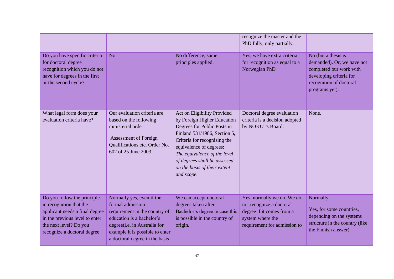|                                                                                                                                                                                     |                                                                                                                                                                                                                  |                                                                                                                                                                                                                                                                                                    | recognize the master and the<br>PhD fully, only partially.                                                                              |                                                                                                                                                      |
|-------------------------------------------------------------------------------------------------------------------------------------------------------------------------------------|------------------------------------------------------------------------------------------------------------------------------------------------------------------------------------------------------------------|----------------------------------------------------------------------------------------------------------------------------------------------------------------------------------------------------------------------------------------------------------------------------------------------------|-----------------------------------------------------------------------------------------------------------------------------------------|------------------------------------------------------------------------------------------------------------------------------------------------------|
| Do you have specific criteria<br>for doctoral degree<br>recognition which you do not<br>have for degrees in the first<br>or the second cycle?                                       | N <sub>o</sub>                                                                                                                                                                                                   | No difference, same<br>principles applied.                                                                                                                                                                                                                                                         | Yes, we have extra criteria<br>for recognition as equal to a<br>Norwegian PhD                                                           | No (but a thesis is<br>demanded). Or, we have not<br>completed our work with<br>developing criteria for<br>recognition of doctoral<br>programs yet). |
| What legal form does your<br>evaluation criteria have?                                                                                                                              | Our evaluation criteria are<br>based on the following<br>ministerial order:<br>Assessment of Foreign<br>Qualifications etc. Order No.<br>602 of 25 June 2003                                                     | Act on Eligibility Provided<br>by Foreign Higher Education<br>Degrees for Public Posts in<br>Finland 531/1986, Section 5,<br>Criteria for recognising the<br>equivalence of degrees:<br>The equivalence of the level<br>of degrees shall be assessed<br>on the basis of their extent<br>and scope. | Doctoral degree evaluation<br>criteria is a decision adopted<br>by NOKUTs Board.                                                        | None.                                                                                                                                                |
| Do you follow the principle<br>in recognition that the<br>applicant needs a final degree<br>in the previous level to enter<br>the next level? Do you<br>recognize a doctoral degree | Normally yes, even if the<br>formal admission<br>requirement in the country of<br>education is a bachelor's<br>degree(i.e. in Australia for<br>example it is possible to enter<br>a doctoral degree in the basis | We can accept doctoral<br>degrees taken after<br>Bachelor's degree in case this<br>is possible in the country of<br>origin.                                                                                                                                                                        | Yes, normally we do. We do<br>not recognize a doctoral<br>degree if it comes from a<br>system where the<br>requirement for admission to | Normally.<br>Yes, for some countries,<br>depending on the systems<br>structure in the country (like<br>the Finnish answer).                          |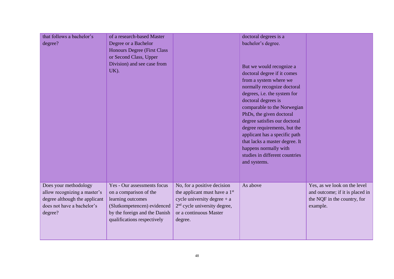| that follows a bachelor's<br>degree?                                                                                            | of a research-based Master<br>Degree or a Bachelor<br><b>Honours Degree (First Class)</b><br>or Second Class, Upper<br>Division) and see case from<br>UK).                |                                                                                                                                                                                            | doctoral degrees is a<br>bachelor's degree.<br>But we would recognize a<br>doctoral degree if it comes<br>from a system where we<br>normally recognize doctoral<br>degrees, i.e. the system for<br>doctoral degrees is<br>comparable to the Norwegian<br>PhDs, the given doctoral<br>degree satisfies our doctoral<br>degree requirements, but the<br>applicant has a specific path<br>that lacks a master degree. It<br>happens normally with<br>studies in different countries<br>and systems. |                                                                                                            |
|---------------------------------------------------------------------------------------------------------------------------------|---------------------------------------------------------------------------------------------------------------------------------------------------------------------------|--------------------------------------------------------------------------------------------------------------------------------------------------------------------------------------------|--------------------------------------------------------------------------------------------------------------------------------------------------------------------------------------------------------------------------------------------------------------------------------------------------------------------------------------------------------------------------------------------------------------------------------------------------------------------------------------------------|------------------------------------------------------------------------------------------------------------|
| Does your methodology<br>allow recognizing a master's<br>degree although the applicant<br>does not have a bachelor's<br>degree? | Yes - Our assessments focus<br>on a comparison of the<br>learning outcomes<br>(Slutkompetencen) evidenced<br>by the foreign and the Danish<br>qualifications respectively | No, for a positive decision<br>the applicant must have a 1 <sup>st</sup><br>cycle university degree $+$ a<br>2 <sup>nd</sup> cycle university degree,<br>or a continuous Master<br>degree. | As above                                                                                                                                                                                                                                                                                                                                                                                                                                                                                         | Yes, as we look on the level<br>and outcome; if it is placed in<br>the NQF in the country, for<br>example. |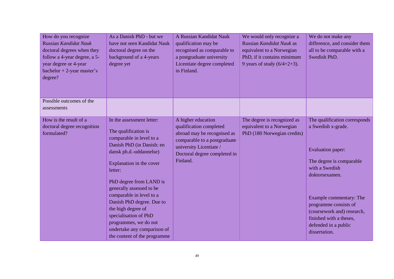| How do you recognize<br>Russian Kandidat Nauk<br>doctoral degrees when they<br>follow a 4-year degree, a 5-<br>year degree or 4-year<br>bachelor + 2-year master's<br>degree? | As a Danish PhD - but we<br>have not seen Kandidat Nauk<br>doctoral degree on the<br>background of a 4-years<br>degree yet                                                                                                                                                                                                                                                                                                          | A Russian Kandidat Nauk<br>qualification may be<br>recognised as comparable to<br>a postgraduate university<br>Licentiate degree completed<br>in Finland.                           | We would only recognize a<br>Russian Kandidat Nauk as<br>equivalent to a Norwegian<br>PhD, if it contains minimum<br>9 years of study $(6/4+2+3)$ . | We do not make any<br>difference, and consider them<br>all to be comparable with a<br>Swedish PhD.                                                                                                                                                                                                    |
|-------------------------------------------------------------------------------------------------------------------------------------------------------------------------------|-------------------------------------------------------------------------------------------------------------------------------------------------------------------------------------------------------------------------------------------------------------------------------------------------------------------------------------------------------------------------------------------------------------------------------------|-------------------------------------------------------------------------------------------------------------------------------------------------------------------------------------|-----------------------------------------------------------------------------------------------------------------------------------------------------|-------------------------------------------------------------------------------------------------------------------------------------------------------------------------------------------------------------------------------------------------------------------------------------------------------|
| Possible outcomes of the<br>assessments                                                                                                                                       |                                                                                                                                                                                                                                                                                                                                                                                                                                     |                                                                                                                                                                                     |                                                                                                                                                     |                                                                                                                                                                                                                                                                                                       |
| How is the result of a<br>doctoral degree recognition<br>formulated?                                                                                                          | In the assessment letter:<br>The qualification is<br>comparable in level to a<br>Danish PhD (in Danish: en<br>dansk ph.d.-uddannelse)<br>Explanation in the cover<br>letter:<br>PhD degree from LAND is<br>generally assessed to be<br>comparable in level to a<br>Danish PhD degree. Due to<br>the high degree of<br>specialisation of PhD<br>programmes, we do not<br>undertake any comparison of<br>the content of the programme | A higher education<br>qualification completed<br>abroad may be recognised as<br>comparable to a postgraduate<br>university Licentiate /<br>Doctoral degree completed in<br>Finland. | The degree is recognized as<br>equivalent to a Norwegian<br>PhD (180 Norwegian credits)                                                             | The qualification corresponds<br>a Swedish x-grade.<br><b>Evaluation paper:</b><br>The degree is comparable<br>with a Swedish<br>doktorsexamen.<br>Example commentary: The<br>programme consists of<br>(coursework and) research,<br>finished with a theses,<br>defended in a public<br>dissertation. |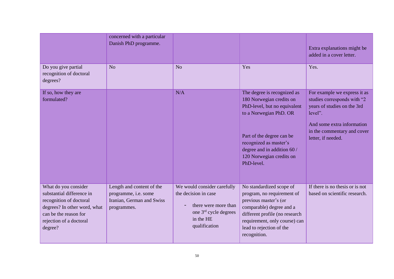|                                                                                                                                                                             | concerned with a particular<br>Danish PhD programme.                                          |                                                                                                                                    |                                                                                                                                                                                                                                                   | Extra explanations might be<br>added in a cover letter.                                                                                                                                  |
|-----------------------------------------------------------------------------------------------------------------------------------------------------------------------------|-----------------------------------------------------------------------------------------------|------------------------------------------------------------------------------------------------------------------------------------|---------------------------------------------------------------------------------------------------------------------------------------------------------------------------------------------------------------------------------------------------|------------------------------------------------------------------------------------------------------------------------------------------------------------------------------------------|
| Do you give partial<br>recognition of doctoral<br>degrees?                                                                                                                  | N <sub>o</sub>                                                                                | N <sub>o</sub>                                                                                                                     | Yes                                                                                                                                                                                                                                               | Yes.                                                                                                                                                                                     |
| If so, how they are<br>formulated?                                                                                                                                          |                                                                                               | N/A                                                                                                                                | The degree is recognized as<br>180 Norwegian credits on<br>PhD-level, but no equivalent<br>to a Norwegian PhD. OR<br>Part of the degree can be<br>recognized as master's<br>degree and in addition 60 /<br>120 Norwegian credits on<br>PhD-level. | For example we express it as<br>studies corresponds with "2<br>years of studies on the 3rd<br>level".<br>And some extra information<br>in the commentary and cover<br>letter, if needed. |
| What do you consider<br>substantial difference in<br>recognition of doctoral<br>degrees? In other word, what<br>can be the reason for<br>rejection of a doctoral<br>degree? | Length and content of the<br>programme, i.e. some<br>Iranian, German and Swiss<br>programmes. | We would consider carefully<br>the decision in case<br>there were more than<br>one 3rd cycle degrees<br>in the HE<br>qualification | No standardized scope of<br>program, no requirement of<br>previous master's (or<br>comparable) degree and a<br>different profile (no research<br>requirement, only course) can<br>lead to rejection of the<br>recognition.                        | If there is no thesis or is not<br>based on scientific research.                                                                                                                         |